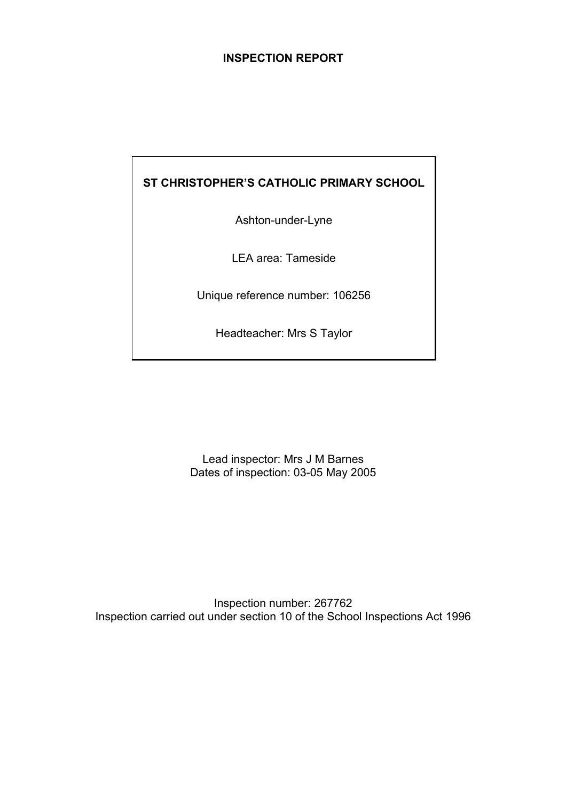## **INSPECTION REPORT**

# **ST CHRISTOPHER'S CATHOLIC PRIMARY SCHOOL**

Ashton-under-Lyne

LEA area: Tameside

Unique reference number: 106256

Headteacher: Mrs S Taylor

Lead inspector: Mrs J M Barnes Dates of inspection: 03-05 May 2005

Inspection number: 267762 Inspection carried out under section 10 of the School Inspections Act 1996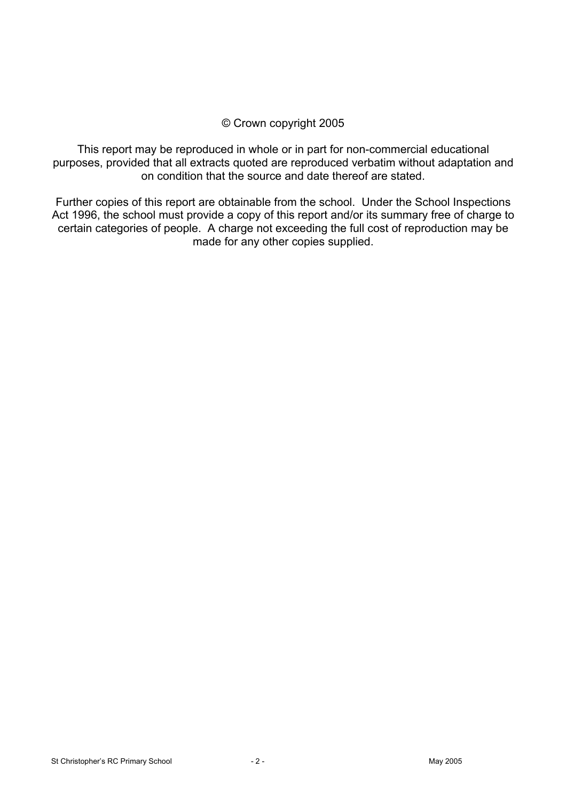## © Crown copyright 2005

This report may be reproduced in whole or in part for non-commercial educational purposes, provided that all extracts quoted are reproduced verbatim without adaptation and on condition that the source and date thereof are stated.

Further copies of this report are obtainable from the school. Under the School Inspections Act 1996, the school must provide a copy of this report and/or its summary free of charge to certain categories of people. A charge not exceeding the full cost of reproduction may be made for any other copies supplied.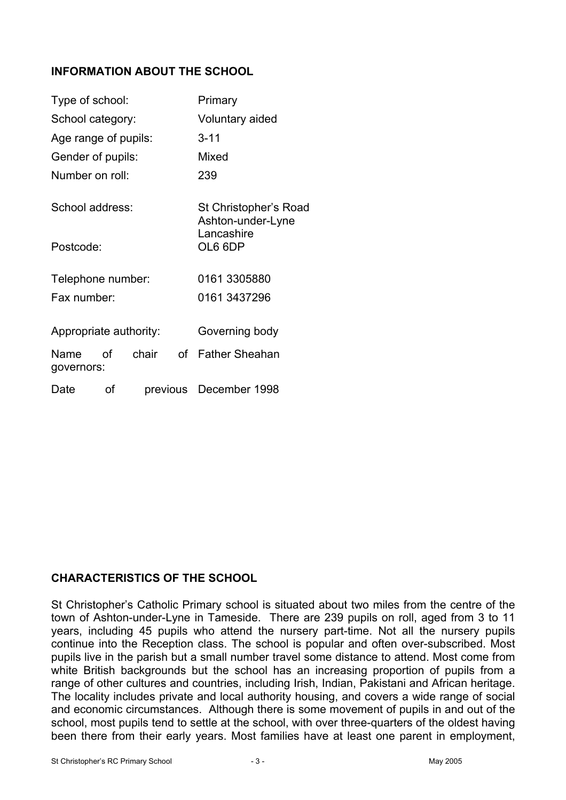# **INFORMATION ABOUT THE SCHOOL**

| Type of school:        |    |                       |                 | Primary                                    |  |
|------------------------|----|-----------------------|-----------------|--------------------------------------------|--|
| School category:       |    |                       | Voluntary aided |                                            |  |
| Age range of pupils:   |    |                       |                 | $3 - 11$                                   |  |
| Gender of pupils:      |    |                       |                 | Mixed                                      |  |
| Number on roll:        |    |                       | 239             |                                            |  |
| School address:        |    |                       |                 | St Christopher's Road<br>Ashton-under-Lyne |  |
| Postcode:              |    | Lancashire<br>OL6 6DP |                 |                                            |  |
| Telephone number:      |    |                       |                 | 0161 3305880                               |  |
| Fax number:            |    |                       |                 | 0161 3437296                               |  |
| Appropriate authority: |    |                       |                 | Governing body                             |  |
| Name<br>governors:     | 0f | chair                 |                 | of Father Sheahan                          |  |
| Date                   | οf |                       |                 | previous December 1998                     |  |

# **CHARACTERISTICS OF THE SCHOOL**

St Christopher's Catholic Primary school is situated about two miles from the centre of the town of Ashton-under-Lyne in Tameside. There are 239 pupils on roll, aged from 3 to 11 years, including 45 pupils who attend the nursery part-time. Not all the nursery pupils continue into the Reception class. The school is popular and often over-subscribed. Most pupils live in the parish but a small number travel some distance to attend. Most come from white British backgrounds but the school has an increasing proportion of pupils from a range of other cultures and countries, including Irish, Indian, Pakistani and African heritage. The locality includes private and local authority housing, and covers a wide range of social and economic circumstances. Although there is some movement of pupils in and out of the school, most pupils tend to settle at the school, with over three-quarters of the oldest having been there from their early years. Most families have at least one parent in employment,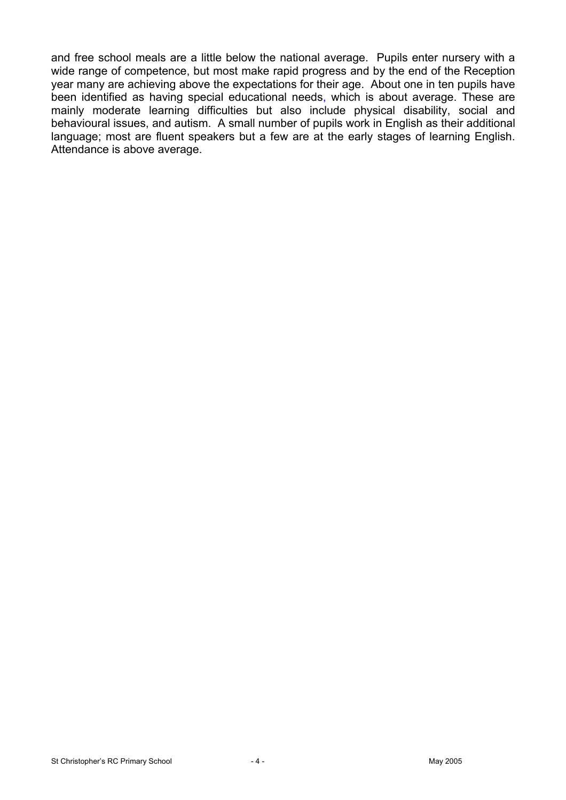and free school meals are a little below the national average. Pupils enter nursery with a wide range of competence, but most make rapid progress and by the end of the Reception year many are achieving above the expectations for their age. About one in ten pupils have been identified as having special educational needs, which is about average. These are mainly moderate learning difficulties but also include physical disability, social and behavioural issues, and autism. A small number of pupils work in English as their additional language; most are fluent speakers but a few are at the early stages of learning English. Attendance is above average.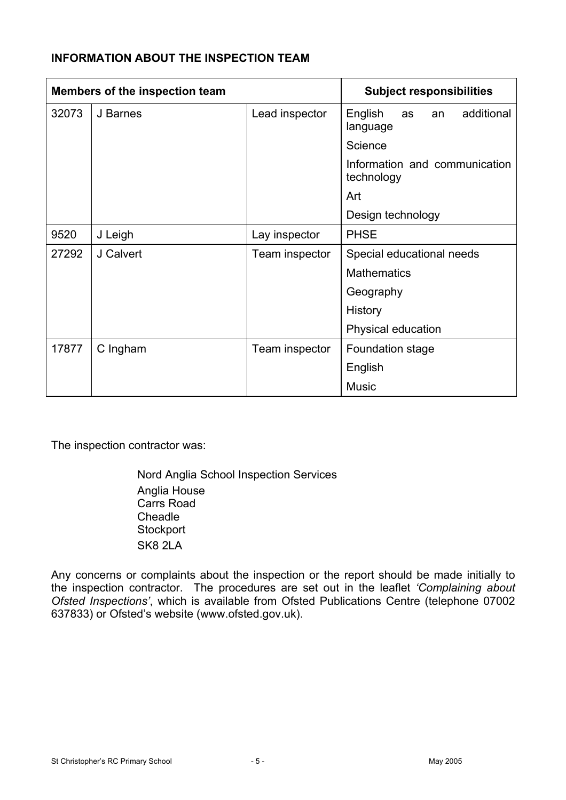# **INFORMATION ABOUT THE INSPECTION TEAM**

| Members of the inspection team |           | <b>Subject responsibilities</b> |                                               |
|--------------------------------|-----------|---------------------------------|-----------------------------------------------|
| 32073                          | J Barnes  | Lead inspector                  | English<br>additional<br>as<br>an<br>language |
|                                |           |                                 | Science                                       |
|                                |           |                                 | Information and communication<br>technology   |
|                                |           |                                 | Art                                           |
|                                |           |                                 | Design technology                             |
| 9520                           | J Leigh   | Lay inspector                   | <b>PHSE</b>                                   |
| 27292                          | J Calvert | Team inspector                  | Special educational needs                     |
|                                |           |                                 | <b>Mathematics</b>                            |
|                                |           |                                 | Geography                                     |
|                                |           |                                 | History                                       |
|                                |           |                                 | Physical education                            |
| 17877                          | C Ingham  | Team inspector                  | Foundation stage                              |
|                                |           |                                 | English                                       |
|                                |           |                                 | <b>Music</b>                                  |

The inspection contractor was:

Nord Anglia School Inspection Services Anglia House Carrs Road **Cheadle Stockport** SK8 2LA

Any concerns or complaints about the inspection or the report should be made initially to the inspection contractor. The procedures are set out in the leaflet *'Complaining about Ofsted Inspections'*, which is available from Ofsted Publications Centre (telephone 07002 637833) or Ofsted's website (www.ofsted.gov.uk).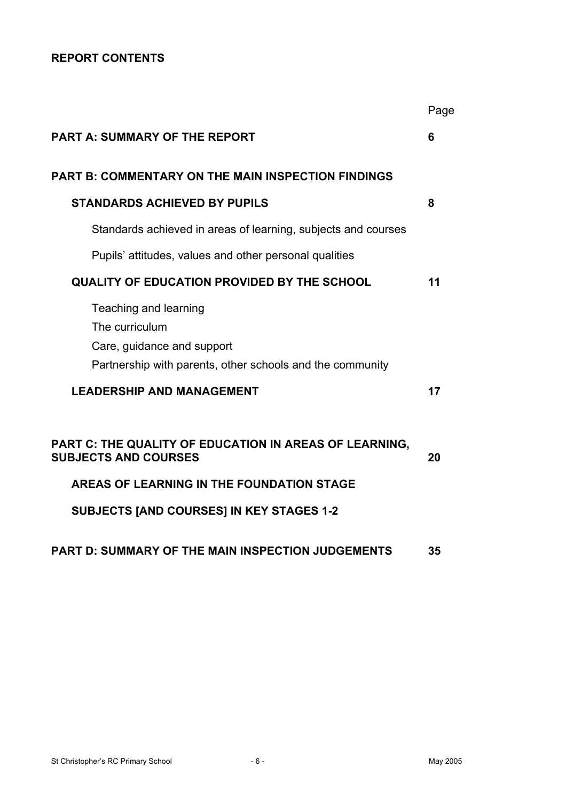# **REPORT CONTENTS**

|                                                                                                                                    | Page |
|------------------------------------------------------------------------------------------------------------------------------------|------|
| <b>PART A: SUMMARY OF THE REPORT</b>                                                                                               | 6    |
| <b>PART B: COMMENTARY ON THE MAIN INSPECTION FINDINGS</b>                                                                          |      |
| <b>STANDARDS ACHIEVED BY PUPILS</b>                                                                                                | 8    |
| Standards achieved in areas of learning, subjects and courses                                                                      |      |
| Pupils' attitudes, values and other personal qualities                                                                             |      |
| <b>QUALITY OF EDUCATION PROVIDED BY THE SCHOOL</b>                                                                                 | 11   |
| Teaching and learning<br>The curriculum<br>Care, guidance and support<br>Partnership with parents, other schools and the community |      |
| <b>LEADERSHIP AND MANAGEMENT</b>                                                                                                   | 17   |
| PART C: THE QUALITY OF EDUCATION IN AREAS OF LEARNING,<br><b>SUBJECTS AND COURSES</b><br>AREAS OF LEARNING IN THE FOUNDATION STAGE | 20   |
| <b>SUBJECTS [AND COURSES] IN KEY STAGES 1-2</b>                                                                                    |      |
| <b>PART D: SUMMARY OF THE MAIN INSPECTION JUDGEMENTS</b>                                                                           | 35   |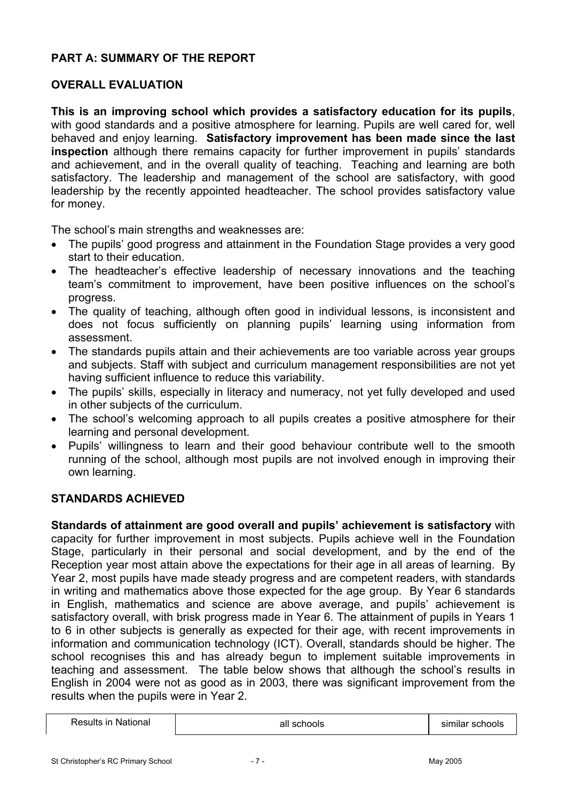# **PART A: SUMMARY OF THE REPORT**

# **OVERALL EVALUATION**

**This is an improving school which provides a satisfactory education for its pupils**, with good standards and a positive atmosphere for learning. Pupils are well cared for, well behaved and enjoy learning. **Satisfactory improvement has been made since the last inspection** although there remains capacity for further improvement in pupils' standards and achievement, and in the overall quality of teaching. Teaching and learning are both satisfactory. The leadership and management of the school are satisfactory, with good leadership by the recently appointed headteacher. The school provides satisfactory value for money.

The school's main strengths and weaknesses are:

- The pupils' good progress and attainment in the Foundation Stage provides a very good start to their education.
- The headteacher's effective leadership of necessary innovations and the teaching team's commitment to improvement, have been positive influences on the school's progress.
- The quality of teaching, although often good in individual lessons, is inconsistent and does not focus sufficiently on planning pupils' learning using information from assessment.
- The standards pupils attain and their achievements are too variable across year groups and subjects. Staff with subject and curriculum management responsibilities are not yet having sufficient influence to reduce this variability.
- The pupils' skills, especially in literacy and numeracy, not yet fully developed and used in other subjects of the curriculum.
- The school's welcoming approach to all pupils creates a positive atmosphere for their learning and personal development.
- Pupils' willingness to learn and their good behaviour contribute well to the smooth running of the school, although most pupils are not involved enough in improving their own learning.

## **STANDARDS ACHIEVED**

**Standards of attainment are good overall and pupils' achievement is satisfactory** with capacity for further improvement in most subjects. Pupils achieve well in the Foundation Stage, particularly in their personal and social development, and by the end of the Reception year most attain above the expectations for their age in all areas of learning. By Year 2, most pupils have made steady progress and are competent readers, with standards in writing and mathematics above those expected for the age group. By Year 6 standards in English, mathematics and science are above average, and pupils' achievement is satisfactory overall, with brisk progress made in Year 6. The attainment of pupils in Years 1 to 6 in other subjects is generally as expected for their age, with recent improvements in information and communication technology (ICT). Overall, standards should be higher. The school recognises this and has already begun to implement suitable improvements in teaching and assessment. The table below shows that although the school's results in English in 2004 were not as good as in 2003, there was significant improvement from the results when the pupils were in Year 2.

|--|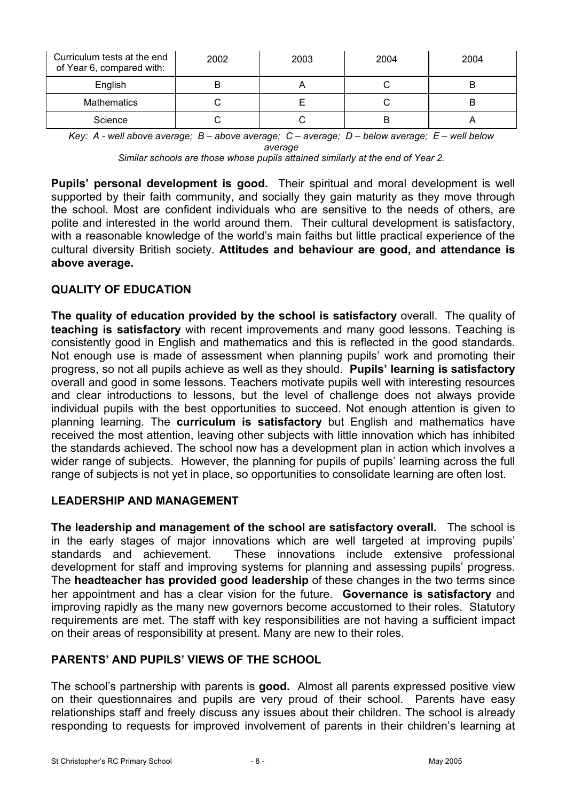| Curriculum tests at the end<br>of Year 6, compared with: | 2002 | 2003 | 2004 | 2004 |
|----------------------------------------------------------|------|------|------|------|
| English                                                  |      |      |      |      |
| <b>Mathematics</b>                                       |      |      |      | B    |
| Science                                                  |      |      |      |      |

*Key: A - well above average; B – above average; C – average; D – below average; E – well below average* 

*Similar schools are those whose pupils attained similarly at the end of Year 2.* 

**Pupils' personal development is good.** Their spiritual and moral development is well supported by their faith community, and socially they gain maturity as they move through the school. Most are confident individuals who are sensitive to the needs of others, are polite and interested in the world around them. Their cultural development is satisfactory, with a reasonable knowledge of the world's main faiths but little practical experience of the cultural diversity British society. **Attitudes and behaviour are good, and attendance is above average.** 

## **QUALITY OF EDUCATION**

**The quality of education provided by the school is satisfactory** overall. The quality of **teaching is satisfactory** with recent improvements and many good lessons. Teaching is consistently good in English and mathematics and this is reflected in the good standards. Not enough use is made of assessment when planning pupils' work and promoting their progress, so not all pupils achieve as well as they should. **Pupils' learning is satisfactory** overall and good in some lessons. Teachers motivate pupils well with interesting resources and clear introductions to lessons, but the level of challenge does not always provide individual pupils with the best opportunities to succeed. Not enough attention is given to planning learning. The **curriculum is satisfactory** but English and mathematics have received the most attention, leaving other subjects with little innovation which has inhibited the standards achieved. The school now has a development plan in action which involves a wider range of subjects. However, the planning for pupils of pupils' learning across the full range of subjects is not yet in place, so opportunities to consolidate learning are often lost.

## **LEADERSHIP AND MANAGEMENT**

**The leadership and management of the school are satisfactory overall.** The school is in the early stages of major innovations which are well targeted at improving pupils' standards and achievement. These innovations include extensive professional development for staff and improving systems for planning and assessing pupils' progress. The **headteacher has provided good leadership** of these changes in the two terms since her appointment and has a clear vision for the future. **Governance is satisfactory** and improving rapidly as the many new governors become accustomed to their roles. Statutory requirements are met. The staff with key responsibilities are not having a sufficient impact on their areas of responsibility at present. Many are new to their roles.

## **PARENTS' AND PUPILS' VIEWS OF THE SCHOOL**

The school's partnership with parents is **good.** Almost all parents expressed positive view on their questionnaires and pupils are very proud of their school. Parents have easy relationships staff and freely discuss any issues about their children. The school is already responding to requests for improved involvement of parents in their children's learning at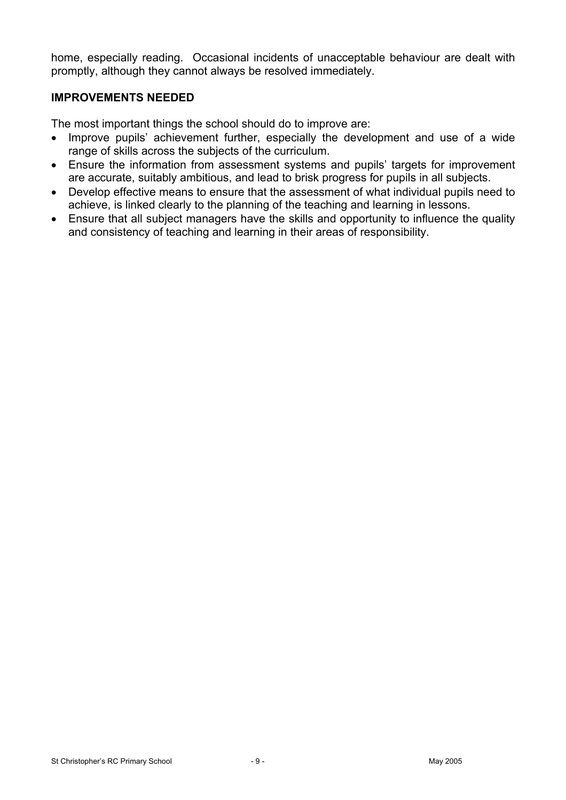home, especially reading. Occasional incidents of unacceptable behaviour are dealt with promptly, although they cannot always be resolved immediately.

### **IMPROVEMENTS NEEDED**

The most important things the school should do to improve are:

- Improve pupils' achievement further, especially the development and use of a wide range of skills across the subjects of the curriculum.
- Ensure the information from assessment systems and pupils' targets for improvement are accurate, suitably ambitious, and lead to brisk progress for pupils in all subjects.
- Develop effective means to ensure that the assessment of what individual pupils need to achieve, is linked clearly to the planning of the teaching and learning in lessons.
- Ensure that all subject managers have the skills and opportunity to influence the quality and consistency of teaching and learning in their areas of responsibility.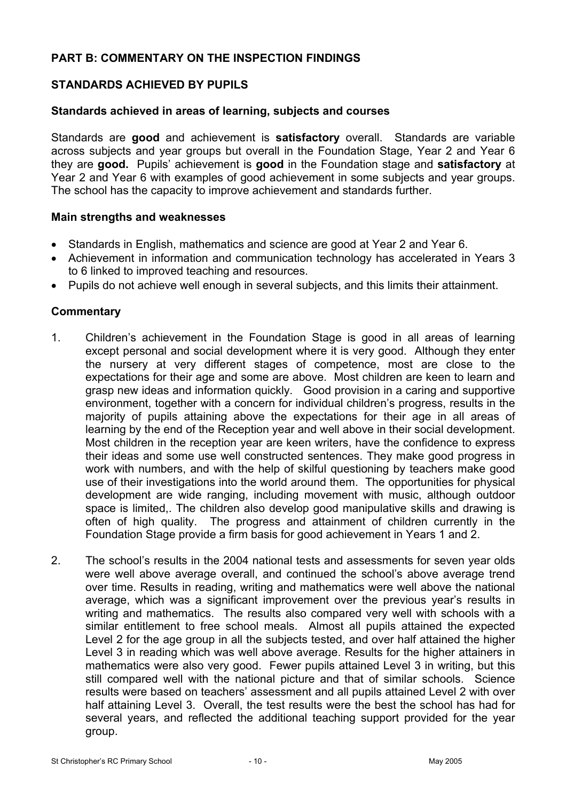## **PART B: COMMENTARY ON THE INSPECTION FINDINGS**

## **STANDARDS ACHIEVED BY PUPILS**

#### **Standards achieved in areas of learning, subjects and courses**

Standards are **good** and achievement is **satisfactory** overall. Standards are variable across subjects and year groups but overall in the Foundation Stage, Year 2 and Year 6 they are **good.** Pupils' achievement is **good** in the Foundation stage and **satisfactory** at Year 2 and Year 6 with examples of good achievement in some subjects and year groups. The school has the capacity to improve achievement and standards further.

#### **Main strengths and weaknesses**

- Standards in English, mathematics and science are good at Year 2 and Year 6.
- Achievement in information and communication technology has accelerated in Years 3 to 6 linked to improved teaching and resources.
- Pupils do not achieve well enough in several subjects, and this limits their attainment.

- 1. Children's achievement in the Foundation Stage is good in all areas of learning except personal and social development where it is very good. Although they enter the nursery at very different stages of competence, most are close to the expectations for their age and some are above. Most children are keen to learn and grasp new ideas and information quickly. Good provision in a caring and supportive environment, together with a concern for individual children's progress, results in the majority of pupils attaining above the expectations for their age in all areas of learning by the end of the Reception year and well above in their social development. Most children in the reception year are keen writers, have the confidence to express their ideas and some use well constructed sentences. They make good progress in work with numbers, and with the help of skilful questioning by teachers make good use of their investigations into the world around them. The opportunities for physical development are wide ranging, including movement with music, although outdoor space is limited,. The children also develop good manipulative skills and drawing is often of high quality. The progress and attainment of children currently in the Foundation Stage provide a firm basis for good achievement in Years 1 and 2.
- 2. The school's results in the 2004 national tests and assessments for seven year olds were well above average overall, and continued the school's above average trend over time. Results in reading, writing and mathematics were well above the national average, which was a significant improvement over the previous year's results in writing and mathematics. The results also compared very well with schools with a similar entitlement to free school meals. Almost all pupils attained the expected Level 2 for the age group in all the subjects tested, and over half attained the higher Level 3 in reading which was well above average. Results for the higher attainers in mathematics were also very good. Fewer pupils attained Level 3 in writing, but this still compared well with the national picture and that of similar schools. Science results were based on teachers' assessment and all pupils attained Level 2 with over half attaining Level 3. Overall, the test results were the best the school has had for several years, and reflected the additional teaching support provided for the year group.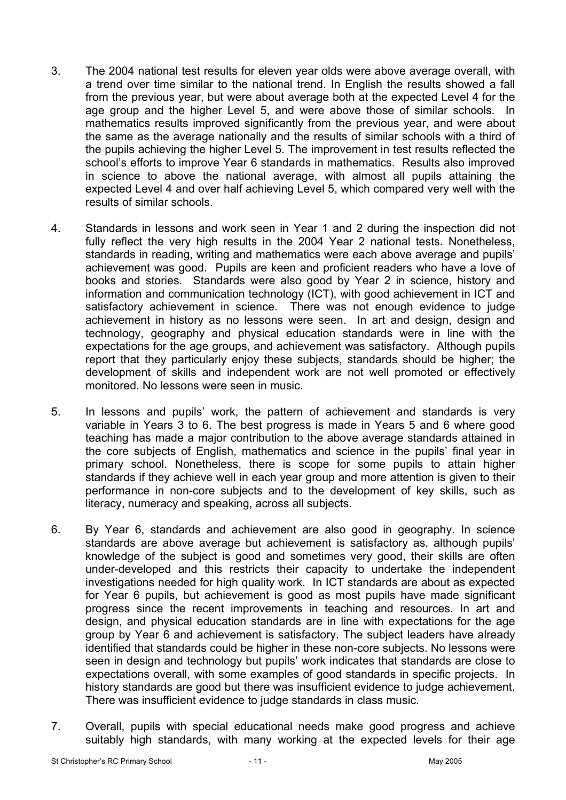- 3. The 2004 national test results for eleven year olds were above average overall, with a trend over time similar to the national trend. In English the results showed a fall from the previous year, but were about average both at the expected Level 4 for the age group and the higher Level 5, and were above those of similar schools. In mathematics results improved significantly from the previous year, and were about the same as the average nationally and the results of similar schools with a third of the pupils achieving the higher Level 5. The improvement in test results reflected the school's efforts to improve Year 6 standards in mathematics. Results also improved in science to above the national average, with almost all pupils attaining the expected Level 4 and over half achieving Level 5, which compared very well with the results of similar schools.
- 4. Standards in lessons and work seen in Year 1 and 2 during the inspection did not fully reflect the very high results in the 2004 Year 2 national tests. Nonetheless, standards in reading, writing and mathematics were each above average and pupils' achievement was good. Pupils are keen and proficient readers who have a love of books and stories. Standards were also good by Year 2 in science, history and information and communication technology (ICT), with good achievement in ICT and satisfactory achievement in science. There was not enough evidence to judge achievement in history as no lessons were seen. In art and design, design and technology, geography and physical education standards were in line with the expectations for the age groups, and achievement was satisfactory. Although pupils report that they particularly enjoy these subjects, standards should be higher; the development of skills and independent work are not well promoted or effectively monitored. No lessons were seen in music.
- 5. In lessons and pupils' work, the pattern of achievement and standards is very variable in Years 3 to 6. The best progress is made in Years 5 and 6 where good teaching has made a major contribution to the above average standards attained in the core subjects of English, mathematics and science in the pupils' final year in primary school. Nonetheless, there is scope for some pupils to attain higher standards if they achieve well in each year group and more attention is given to their performance in non-core subjects and to the development of key skills, such as literacy, numeracy and speaking, across all subjects.
- 6. By Year 6, standards and achievement are also good in geography. In science standards are above average but achievement is satisfactory as, although pupils' knowledge of the subject is good and sometimes very good, their skills are often under-developed and this restricts their capacity to undertake the independent investigations needed for high quality work. In ICT standards are about as expected for Year 6 pupils, but achievement is good as most pupils have made significant progress since the recent improvements in teaching and resources. In art and design, and physical education standards are in line with expectations for the age group by Year 6 and achievement is satisfactory. The subject leaders have already identified that standards could be higher in these non-core subjects. No lessons were seen in design and technology but pupils' work indicates that standards are close to expectations overall, with some examples of good standards in specific projects. In history standards are good but there was insufficient evidence to judge achievement. There was insufficient evidence to judge standards in class music.
- 7. Overall, pupils with special educational needs make good progress and achieve suitably high standards, with many working at the expected levels for their age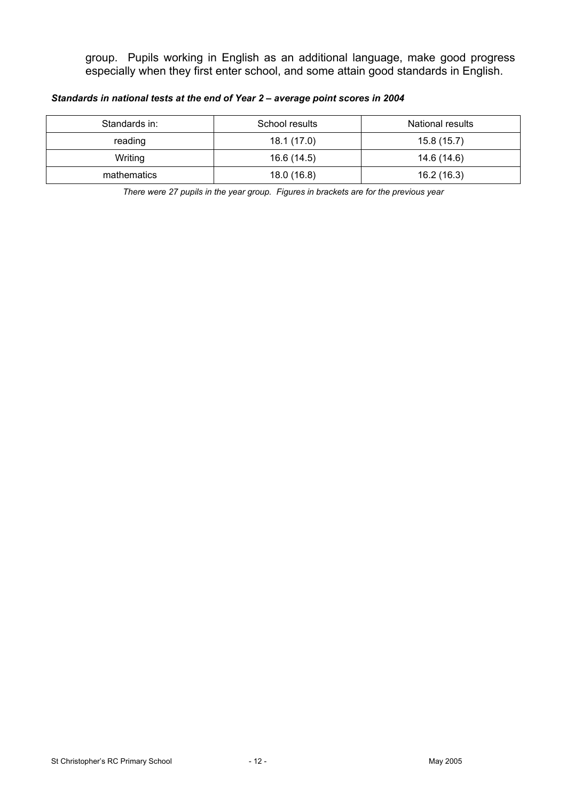group. Pupils working in English as an additional language, make good progress especially when they first enter school, and some attain good standards in English.

*Standards in national tests at the end of Year 2 – average point scores in 2004* 

| Standards in: | School results | National results |
|---------------|----------------|------------------|
| reading       | 18.1 (17.0)    | 15.8 (15.7)      |
| Writing       | 16.6 (14.5)    | 14.6 (14.6)      |
| mathematics   | 18.0 (16.8)    | 16.2(16.3)       |

*There were 27 pupils in the year group. Figures in brackets are for the previous year*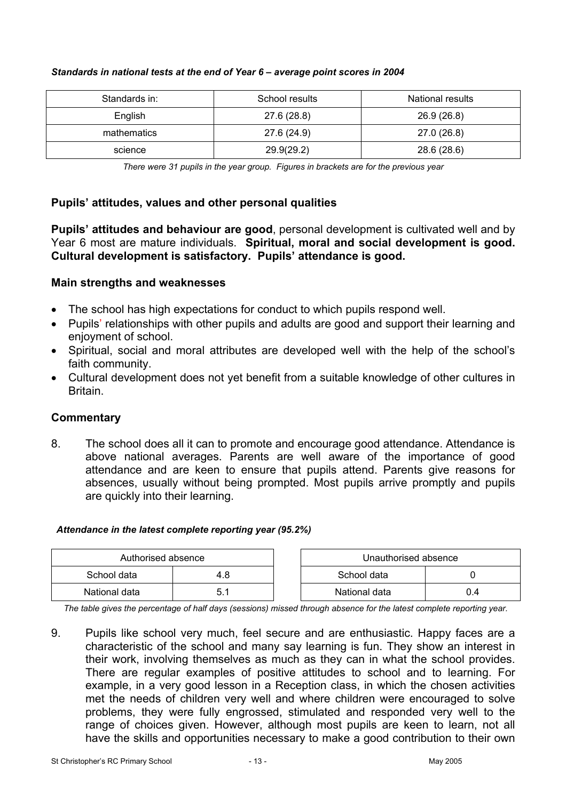| Standards in: | School results | <b>National results</b> |
|---------------|----------------|-------------------------|
| English       | 27.6 (28.8)    | 26.9 (26.8)             |
| mathematics   | 27.6 (24.9)    | 27.0 (26.8)             |
| science       | 29.9(29.2)     | 28.6 (28.6)             |

#### *Standards in national tests at the end of Year 6 – average point scores in 2004*

*There were 31 pupils in the year group. Figures in brackets are for the previous year* 

### **Pupils' attitudes, values and other personal qualities**

**Pupils' attitudes and behaviour are good**, personal development is cultivated well and by Year 6 most are mature individuals. **Spiritual, moral and social development is good. Cultural development is satisfactory. Pupils' attendance is good.** 

### **Main strengths and weaknesses**

- The school has high expectations for conduct to which pupils respond well.
- Pupils' relationships with other pupils and adults are good and support their learning and enjoyment of school.
- Spiritual, social and moral attributes are developed well with the help of the school's faith community.
- Cultural development does not yet benefit from a suitable knowledge of other cultures in Britain.

### **Commentary**

8. The school does all it can to promote and encourage good attendance. Attendance is above national averages. Parents are well aware of the importance of good attendance and are keen to ensure that pupils attend. Parents give reasons for absences, usually without being prompted. Most pupils arrive promptly and pupils are quickly into their learning.

### *Attendance in the latest complete reporting year (95.2%)*

| Authorised absence |     | Unauthorised absence |  |  |
|--------------------|-----|----------------------|--|--|
| School data        | 4.8 | School data          |  |  |
| National data      |     | National data        |  |  |

*The table gives the percentage of half days (sessions) missed through absence for the latest complete reporting year.*

9. Pupils like school very much, feel secure and are enthusiastic. Happy faces are a characteristic of the school and many say learning is fun. They show an interest in their work, involving themselves as much as they can in what the school provides. There are regular examples of positive attitudes to school and to learning. For example, in a very good lesson in a Reception class, in which the chosen activities met the needs of children very well and where children were encouraged to solve problems, they were fully engrossed, stimulated and responded very well to the range of choices given. However, although most pupils are keen to learn, not all have the skills and opportunities necessary to make a good contribution to their own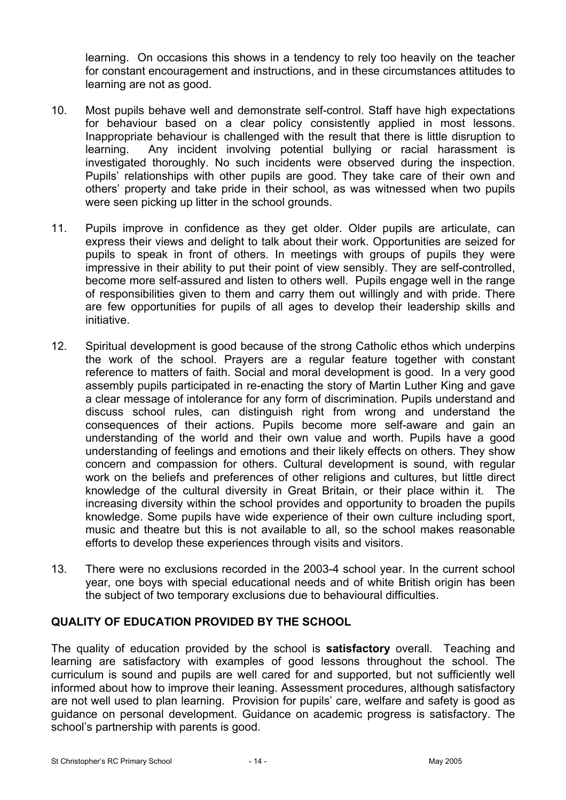learning. On occasions this shows in a tendency to rely too heavily on the teacher for constant encouragement and instructions, and in these circumstances attitudes to learning are not as good.

- 10. Most pupils behave well and demonstrate self-control. Staff have high expectations for behaviour based on a clear policy consistently applied in most lessons. Inappropriate behaviour is challenged with the result that there is little disruption to learning. Any incident involving potential bullying or racial harassment is investigated thoroughly. No such incidents were observed during the inspection. Pupils' relationships with other pupils are good. They take care of their own and others' property and take pride in their school, as was witnessed when two pupils were seen picking up litter in the school grounds.
- 11. Pupils improve in confidence as they get older. Older pupils are articulate, can express their views and delight to talk about their work. Opportunities are seized for pupils to speak in front of others. In meetings with groups of pupils they were impressive in their ability to put their point of view sensibly. They are self-controlled, become more self-assured and listen to others well. Pupils engage well in the range of responsibilities given to them and carry them out willingly and with pride. There are few opportunities for pupils of all ages to develop their leadership skills and initiative.
- 12. Spiritual development is good because of the strong Catholic ethos which underpins the work of the school. Prayers are a regular feature together with constant reference to matters of faith. Social and moral development is good. In a very good assembly pupils participated in re-enacting the story of Martin Luther King and gave a clear message of intolerance for any form of discrimination. Pupils understand and discuss school rules, can distinguish right from wrong and understand the consequences of their actions. Pupils become more self-aware and gain an understanding of the world and their own value and worth. Pupils have a good understanding of feelings and emotions and their likely effects on others. They show concern and compassion for others. Cultural development is sound, with regular work on the beliefs and preferences of other religions and cultures, but little direct knowledge of the cultural diversity in Great Britain, or their place within it. The increasing diversity within the school provides and opportunity to broaden the pupils knowledge. Some pupils have wide experience of their own culture including sport, music and theatre but this is not available to all, so the school makes reasonable efforts to develop these experiences through visits and visitors.
- 13. There were no exclusions recorded in the 2003-4 school year. In the current school year, one boys with special educational needs and of white British origin has been the subject of two temporary exclusions due to behavioural difficulties.

### **QUALITY OF EDUCATION PROVIDED BY THE SCHOOL**

The quality of education provided by the school is **satisfactory** overall. Teaching and learning are satisfactory with examples of good lessons throughout the school. The curriculum is sound and pupils are well cared for and supported, but not sufficiently well informed about how to improve their leaning. Assessment procedures, although satisfactory are not well used to plan learning. Provision for pupils' care, welfare and safety is good as guidance on personal development. Guidance on academic progress is satisfactory. The school's partnership with parents is good.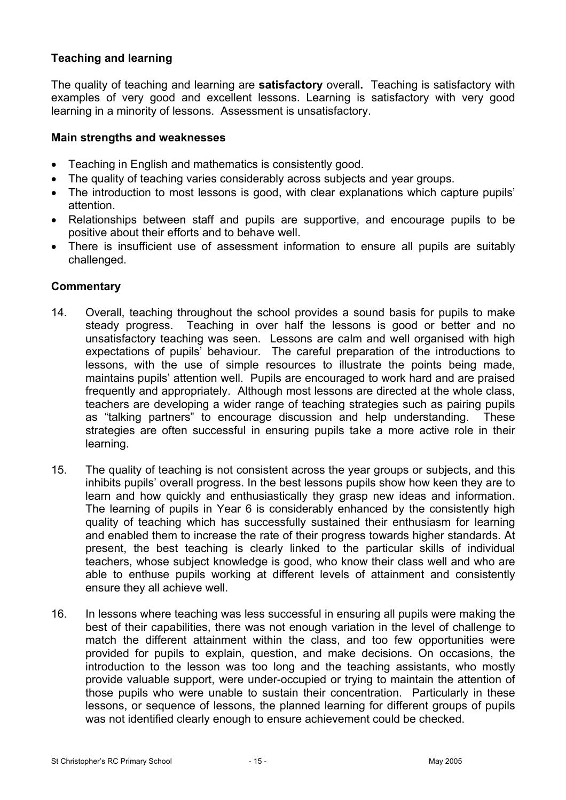## **Teaching and learning**

The quality of teaching and learning are **satisfactory** overall**.** Teaching is satisfactory with examples of very good and excellent lessons. Learning is satisfactory with very good learning in a minority of lessons. Assessment is unsatisfactory.

### **Main strengths and weaknesses**

- Teaching in English and mathematics is consistently good.
- The quality of teaching varies considerably across subjects and year groups.
- The introduction to most lessons is good, with clear explanations which capture pupils' attention.
- Relationships between staff and pupils are supportive, and encourage pupils to be positive about their efforts and to behave well.
- There is insufficient use of assessment information to ensure all pupils are suitably challenged.

- 14. Overall, teaching throughout the school provides a sound basis for pupils to make steady progress. Teaching in over half the lessons is good or better and no unsatisfactory teaching was seen. Lessons are calm and well organised with high expectations of pupils' behaviour. The careful preparation of the introductions to lessons, with the use of simple resources to illustrate the points being made, maintains pupils' attention well. Pupils are encouraged to work hard and are praised frequently and appropriately. Although most lessons are directed at the whole class, teachers are developing a wider range of teaching strategies such as pairing pupils as "talking partners" to encourage discussion and help understanding. These strategies are often successful in ensuring pupils take a more active role in their learning.
- 15. The quality of teaching is not consistent across the year groups or subjects, and this inhibits pupils' overall progress. In the best lessons pupils show how keen they are to learn and how quickly and enthusiastically they grasp new ideas and information. The learning of pupils in Year 6 is considerably enhanced by the consistently high quality of teaching which has successfully sustained their enthusiasm for learning and enabled them to increase the rate of their progress towards higher standards. At present, the best teaching is clearly linked to the particular skills of individual teachers, whose subject knowledge is good, who know their class well and who are able to enthuse pupils working at different levels of attainment and consistently ensure they all achieve well.
- 16. In lessons where teaching was less successful in ensuring all pupils were making the best of their capabilities, there was not enough variation in the level of challenge to match the different attainment within the class, and too few opportunities were provided for pupils to explain, question, and make decisions. On occasions, the introduction to the lesson was too long and the teaching assistants, who mostly provide valuable support, were under-occupied or trying to maintain the attention of those pupils who were unable to sustain their concentration. Particularly in these lessons, or sequence of lessons, the planned learning for different groups of pupils was not identified clearly enough to ensure achievement could be checked.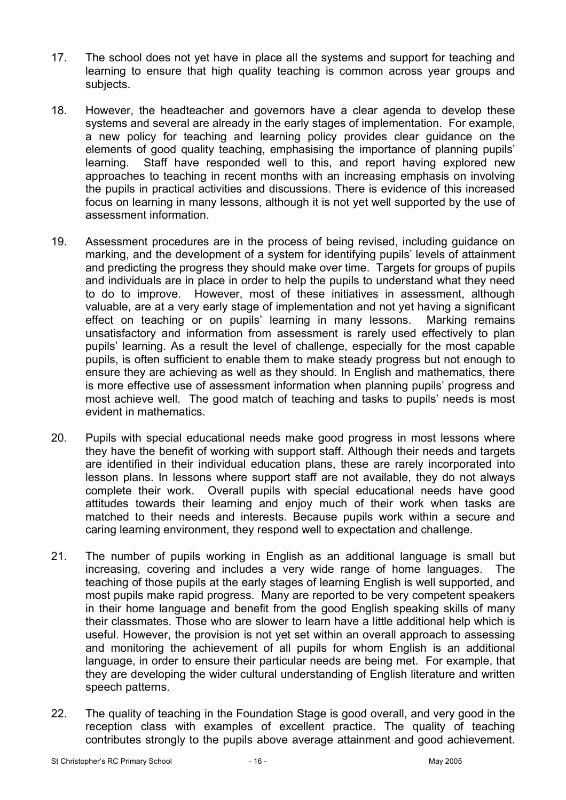- 17. The school does not yet have in place all the systems and support for teaching and learning to ensure that high quality teaching is common across year groups and subjects.
- 18. However, the headteacher and governors have a clear agenda to develop these systems and several are already in the early stages of implementation. For example, a new policy for teaching and learning policy provides clear guidance on the elements of good quality teaching, emphasising the importance of planning pupils' learning. Staff have responded well to this, and report having explored new approaches to teaching in recent months with an increasing emphasis on involving the pupils in practical activities and discussions. There is evidence of this increased focus on learning in many lessons, although it is not yet well supported by the use of assessment information.
- 19. Assessment procedures are in the process of being revised, including guidance on marking, and the development of a system for identifying pupils' levels of attainment and predicting the progress they should make over time. Targets for groups of pupils and individuals are in place in order to help the pupils to understand what they need to do to improve. However, most of these initiatives in assessment, although valuable, are at a very early stage of implementation and not yet having a significant effect on teaching or on pupils' learning in many lessons. Marking remains unsatisfactory and information from assessment is rarely used effectively to plan pupils' learning. As a result the level of challenge, especially for the most capable pupils, is often sufficient to enable them to make steady progress but not enough to ensure they are achieving as well as they should. In English and mathematics, there is more effective use of assessment information when planning pupils' progress and most achieve well. The good match of teaching and tasks to pupils' needs is most evident in mathematics.
- 20. Pupils with special educational needs make good progress in most lessons where they have the benefit of working with support staff. Although their needs and targets are identified in their individual education plans, these are rarely incorporated into lesson plans. In lessons where support staff are not available, they do not always complete their work. Overall pupils with special educational needs have good attitudes towards their learning and enjoy much of their work when tasks are matched to their needs and interests. Because pupils work within a secure and caring learning environment, they respond well to expectation and challenge.
- 21. The number of pupils working in English as an additional language is small but increasing, covering and includes a very wide range of home languages. The teaching of those pupils at the early stages of learning English is well supported, and most pupils make rapid progress. Many are reported to be very competent speakers in their home language and benefit from the good English speaking skills of many their classmates. Those who are slower to learn have a little additional help which is useful. However, the provision is not yet set within an overall approach to assessing and monitoring the achievement of all pupils for whom English is an additional language, in order to ensure their particular needs are being met. For example, that they are developing the wider cultural understanding of English literature and written speech patterns.
- 22. The quality of teaching in the Foundation Stage is good overall, and very good in the reception class with examples of excellent practice. The quality of teaching contributes strongly to the pupils above average attainment and good achievement.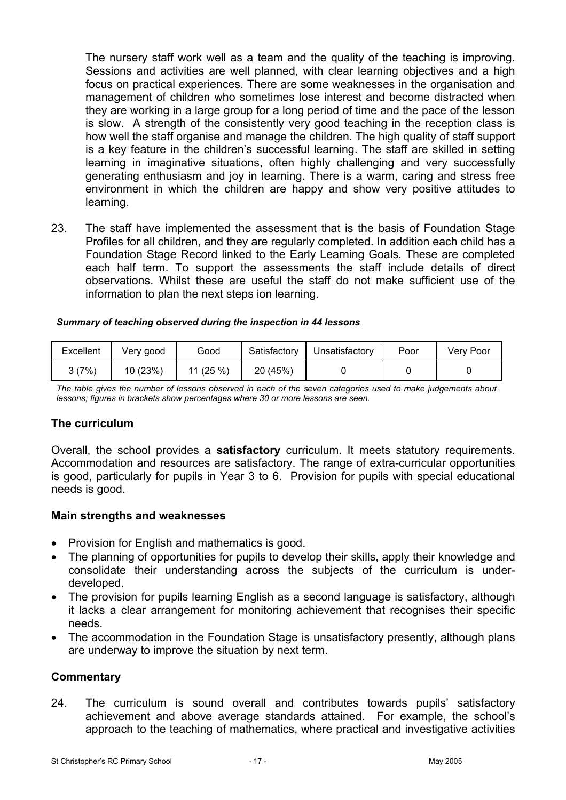The nursery staff work well as a team and the quality of the teaching is improving. Sessions and activities are well planned, with clear learning objectives and a high focus on practical experiences. There are some weaknesses in the organisation and management of children who sometimes lose interest and become distracted when they are working in a large group for a long period of time and the pace of the lesson is slow. A strength of the consistently very good teaching in the reception class is how well the staff organise and manage the children. The high quality of staff support is a key feature in the children's successful learning. The staff are skilled in setting learning in imaginative situations, often highly challenging and very successfully generating enthusiasm and joy in learning. There is a warm, caring and stress free environment in which the children are happy and show very positive attitudes to learning.

23. The staff have implemented the assessment that is the basis of Foundation Stage Profiles for all children, and they are regularly completed. In addition each child has a Foundation Stage Record linked to the Early Learning Goals. These are completed each half term. To support the assessments the staff include details of direct observations. Whilst these are useful the staff do not make sufficient use of the information to plan the next steps ion learning.

| Summary of teaching observed during the inspection in 44 lessons |
|------------------------------------------------------------------|
|------------------------------------------------------------------|

| Excellent | Very good | Good    | Satisfactory | Unsatisfactory | Poor | <b>Verv Poor</b> |
|-----------|-----------|---------|--------------|----------------|------|------------------|
| 3(7%)     | 10(23%)   | 11(25%) | 20 (45%)     |                |      |                  |

*The table gives the number of lessons observed in each of the seven categories used to make judgements about lessons; figures in brackets show percentages where 30 or more lessons are seen.* 

### **The curriculum**

Overall, the school provides a **satisfactory** curriculum. It meets statutory requirements. Accommodation and resources are satisfactory. The range of extra-curricular opportunities is good, particularly for pupils in Year 3 to 6. Provision for pupils with special educational needs is good.

### **Main strengths and weaknesses**

- Provision for English and mathematics is good.
- The planning of opportunities for pupils to develop their skills, apply their knowledge and consolidate their understanding across the subjects of the curriculum is underdeveloped.
- The provision for pupils learning English as a second language is satisfactory, although it lacks a clear arrangement for monitoring achievement that recognises their specific needs.
- The accommodation in the Foundation Stage is unsatisfactory presently, although plans are underway to improve the situation by next term.

### **Commentary**

24. The curriculum is sound overall and contributes towards pupils' satisfactory achievement and above average standards attained. For example, the school's approach to the teaching of mathematics, where practical and investigative activities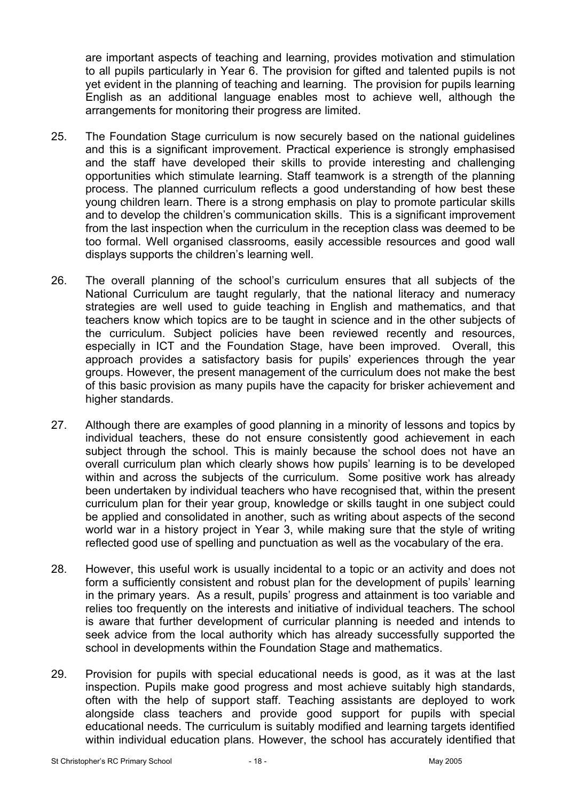are important aspects of teaching and learning, provides motivation and stimulation to all pupils particularly in Year 6. The provision for gifted and talented pupils is not yet evident in the planning of teaching and learning. The provision for pupils learning English as an additional language enables most to achieve well, although the arrangements for monitoring their progress are limited.

- 25. The Foundation Stage curriculum is now securely based on the national guidelines and this is a significant improvement. Practical experience is strongly emphasised and the staff have developed their skills to provide interesting and challenging opportunities which stimulate learning. Staff teamwork is a strength of the planning process. The planned curriculum reflects a good understanding of how best these young children learn. There is a strong emphasis on play to promote particular skills and to develop the children's communication skills. This is a significant improvement from the last inspection when the curriculum in the reception class was deemed to be too formal. Well organised classrooms, easily accessible resources and good wall displays supports the children's learning well.
- 26. The overall planning of the school's curriculum ensures that all subjects of the National Curriculum are taught regularly, that the national literacy and numeracy strategies are well used to guide teaching in English and mathematics, and that teachers know which topics are to be taught in science and in the other subjects of the curriculum. Subject policies have been reviewed recently and resources, especially in ICT and the Foundation Stage, have been improved. Overall, this approach provides a satisfactory basis for pupils' experiences through the year groups. However, the present management of the curriculum does not make the best of this basic provision as many pupils have the capacity for brisker achievement and higher standards.
- 27. Although there are examples of good planning in a minority of lessons and topics by individual teachers, these do not ensure consistently good achievement in each subject through the school. This is mainly because the school does not have an overall curriculum plan which clearly shows how pupils' learning is to be developed within and across the subjects of the curriculum. Some positive work has already been undertaken by individual teachers who have recognised that, within the present curriculum plan for their year group, knowledge or skills taught in one subject could be applied and consolidated in another, such as writing about aspects of the second world war in a history project in Year 3, while making sure that the style of writing reflected good use of spelling and punctuation as well as the vocabulary of the era.
- 28. However, this useful work is usually incidental to a topic or an activity and does not form a sufficiently consistent and robust plan for the development of pupils' learning in the primary years. As a result, pupils' progress and attainment is too variable and relies too frequently on the interests and initiative of individual teachers. The school is aware that further development of curricular planning is needed and intends to seek advice from the local authority which has already successfully supported the school in developments within the Foundation Stage and mathematics.
- 29. Provision for pupils with special educational needs is good, as it was at the last inspection. Pupils make good progress and most achieve suitably high standards, often with the help of support staff. Teaching assistants are deployed to work alongside class teachers and provide good support for pupils with special educational needs. The curriculum is suitably modified and learning targets identified within individual education plans. However, the school has accurately identified that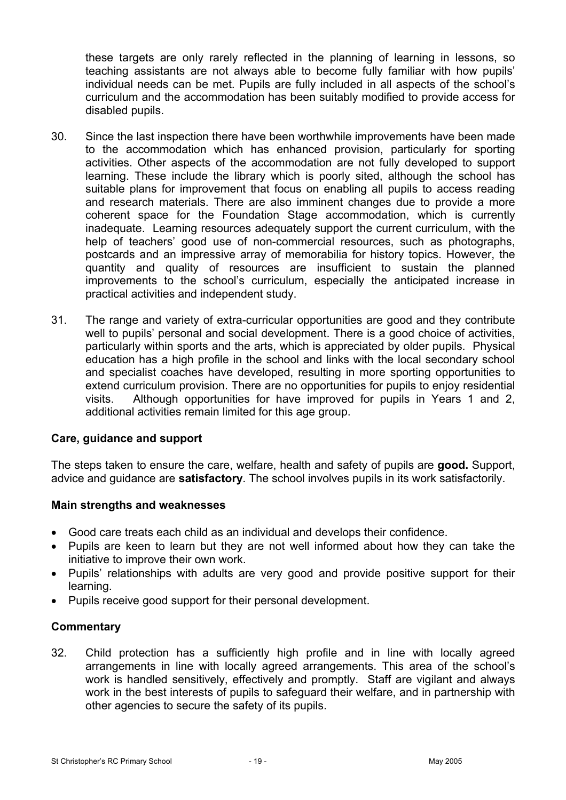these targets are only rarely reflected in the planning of learning in lessons, so teaching assistants are not always able to become fully familiar with how pupils' individual needs can be met. Pupils are fully included in all aspects of the school's curriculum and the accommodation has been suitably modified to provide access for disabled pupils.

- 30. Since the last inspection there have been worthwhile improvements have been made to the accommodation which has enhanced provision, particularly for sporting activities. Other aspects of the accommodation are not fully developed to support learning. These include the library which is poorly sited, although the school has suitable plans for improvement that focus on enabling all pupils to access reading and research materials. There are also imminent changes due to provide a more coherent space for the Foundation Stage accommodation, which is currently inadequate. Learning resources adequately support the current curriculum, with the help of teachers' good use of non-commercial resources, such as photographs, postcards and an impressive array of memorabilia for history topics. However, the quantity and quality of resources are insufficient to sustain the planned improvements to the school's curriculum, especially the anticipated increase in practical activities and independent study.
- 31. The range and variety of extra-curricular opportunities are good and they contribute well to pupils' personal and social development. There is a good choice of activities, particularly within sports and the arts, which is appreciated by older pupils. Physical education has a high profile in the school and links with the local secondary school and specialist coaches have developed, resulting in more sporting opportunities to extend curriculum provision. There are no opportunities for pupils to enjoy residential visits. Although opportunities for have improved for pupils in Years 1 and 2, additional activities remain limited for this age group.

### **Care, guidance and support**

The steps taken to ensure the care, welfare, health and safety of pupils are **good.** Support, advice and guidance are **satisfactory**. The school involves pupils in its work satisfactorily.

### **Main strengths and weaknesses**

- Good care treats each child as an individual and develops their confidence.
- Pupils are keen to learn but they are not well informed about how they can take the initiative to improve their own work.
- Pupils' relationships with adults are very good and provide positive support for their learning.
- Pupils receive good support for their personal development.

### **Commentary**

32. Child protection has a sufficiently high profile and in line with locally agreed arrangements in line with locally agreed arrangements. This area of the school's work is handled sensitively, effectively and promptly. Staff are vigilant and always work in the best interests of pupils to safeguard their welfare, and in partnership with other agencies to secure the safety of its pupils.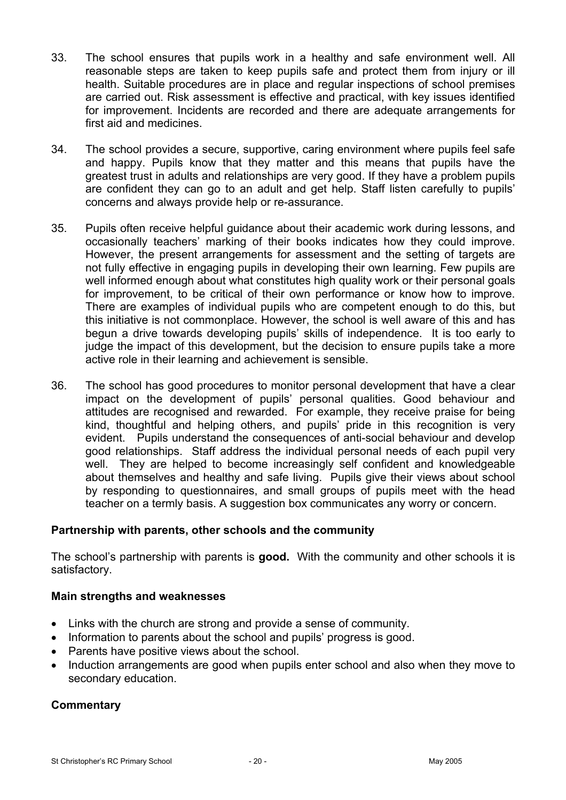- 33. The school ensures that pupils work in a healthy and safe environment well. All reasonable steps are taken to keep pupils safe and protect them from injury or ill health. Suitable procedures are in place and regular inspections of school premises are carried out. Risk assessment is effective and practical, with key issues identified for improvement. Incidents are recorded and there are adequate arrangements for first aid and medicines.
- 34. The school provides a secure, supportive, caring environment where pupils feel safe and happy. Pupils know that they matter and this means that pupils have the greatest trust in adults and relationships are very good. If they have a problem pupils are confident they can go to an adult and get help. Staff listen carefully to pupils' concerns and always provide help or re-assurance.
- 35. Pupils often receive helpful guidance about their academic work during lessons, and occasionally teachers' marking of their books indicates how they could improve. However, the present arrangements for assessment and the setting of targets are not fully effective in engaging pupils in developing their own learning. Few pupils are well informed enough about what constitutes high quality work or their personal goals for improvement, to be critical of their own performance or know how to improve. There are examples of individual pupils who are competent enough to do this, but this initiative is not commonplace. However, the school is well aware of this and has begun a drive towards developing pupils' skills of independence. It is too early to judge the impact of this development, but the decision to ensure pupils take a more active role in their learning and achievement is sensible.
- 36. The school has good procedures to monitor personal development that have a clear impact on the development of pupils' personal qualities. Good behaviour and attitudes are recognised and rewarded. For example, they receive praise for being kind, thoughtful and helping others, and pupils' pride in this recognition is very evident. Pupils understand the consequences of anti-social behaviour and develop good relationships. Staff address the individual personal needs of each pupil very well. They are helped to become increasingly self confident and knowledgeable about themselves and healthy and safe living. Pupils give their views about school by responding to questionnaires, and small groups of pupils meet with the head teacher on a termly basis. A suggestion box communicates any worry or concern.

### **Partnership with parents, other schools and the community**

The school's partnership with parents is **good.** With the community and other schools it is satisfactory.

### **Main strengths and weaknesses**

- Links with the church are strong and provide a sense of community.
- Information to parents about the school and pupils' progress is good.
- Parents have positive views about the school.
- Induction arrangements are good when pupils enter school and also when they move to secondary education.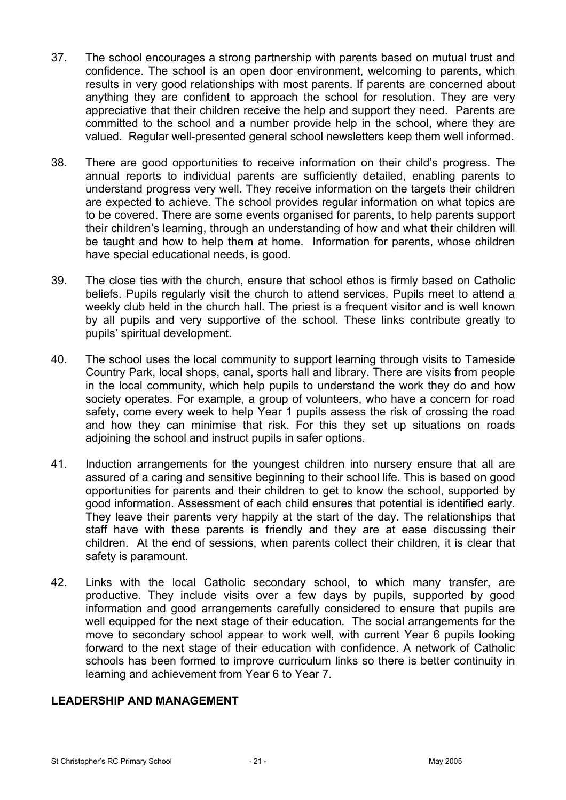- 37. The school encourages a strong partnership with parents based on mutual trust and confidence. The school is an open door environment, welcoming to parents, which results in very good relationships with most parents. If parents are concerned about anything they are confident to approach the school for resolution. They are very appreciative that their children receive the help and support they need. Parents are committed to the school and a number provide help in the school, where they are valued. Regular well-presented general school newsletters keep them well informed.
- 38. There are good opportunities to receive information on their child's progress. The annual reports to individual parents are sufficiently detailed, enabling parents to understand progress very well. They receive information on the targets their children are expected to achieve. The school provides regular information on what topics are to be covered. There are some events organised for parents, to help parents support their children's learning, through an understanding of how and what their children will be taught and how to help them at home. Information for parents, whose children have special educational needs, is good.
- 39. The close ties with the church, ensure that school ethos is firmly based on Catholic beliefs. Pupils regularly visit the church to attend services. Pupils meet to attend a weekly club held in the church hall. The priest is a frequent visitor and is well known by all pupils and very supportive of the school. These links contribute greatly to pupils' spiritual development.
- 40. The school uses the local community to support learning through visits to Tameside Country Park, local shops, canal, sports hall and library. There are visits from people in the local community, which help pupils to understand the work they do and how society operates. For example, a group of volunteers, who have a concern for road safety, come every week to help Year 1 pupils assess the risk of crossing the road and how they can minimise that risk. For this they set up situations on roads adjoining the school and instruct pupils in safer options.
- 41. Induction arrangements for the youngest children into nursery ensure that all are assured of a caring and sensitive beginning to their school life. This is based on good opportunities for parents and their children to get to know the school, supported by good information. Assessment of each child ensures that potential is identified early. They leave their parents very happily at the start of the day. The relationships that staff have with these parents is friendly and they are at ease discussing their children. At the end of sessions, when parents collect their children, it is clear that safety is paramount.
- 42. Links with the local Catholic secondary school, to which many transfer, are productive. They include visits over a few days by pupils, supported by good information and good arrangements carefully considered to ensure that pupils are well equipped for the next stage of their education. The social arrangements for the move to secondary school appear to work well, with current Year 6 pupils looking forward to the next stage of their education with confidence. A network of Catholic schools has been formed to improve curriculum links so there is better continuity in learning and achievement from Year 6 to Year 7.

### **LEADERSHIP AND MANAGEMENT**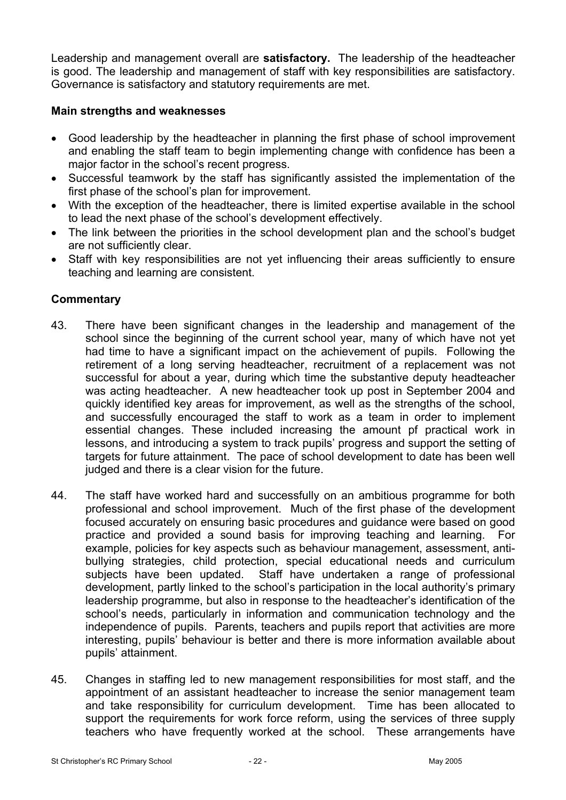Leadership and management overall are **satisfactory.** The leadership of the headteacher is good. The leadership and management of staff with key responsibilities are satisfactory. Governance is satisfactory and statutory requirements are met.

## **Main strengths and weaknesses**

- Good leadership by the headteacher in planning the first phase of school improvement and enabling the staff team to begin implementing change with confidence has been a major factor in the school's recent progress.
- Successful teamwork by the staff has significantly assisted the implementation of the first phase of the school's plan for improvement.
- With the exception of the headteacher, there is limited expertise available in the school to lead the next phase of the school's development effectively.
- The link between the priorities in the school development plan and the school's budget are not sufficiently clear.
- Staff with key responsibilities are not yet influencing their areas sufficiently to ensure teaching and learning are consistent.

- 43. There have been significant changes in the leadership and management of the school since the beginning of the current school year, many of which have not yet had time to have a significant impact on the achievement of pupils. Following the retirement of a long serving headteacher, recruitment of a replacement was not successful for about a year, during which time the substantive deputy headteacher was acting headteacher. A new headteacher took up post in September 2004 and quickly identified key areas for improvement, as well as the strengths of the school, and successfully encouraged the staff to work as a team in order to implement essential changes. These included increasing the amount pf practical work in lessons, and introducing a system to track pupils' progress and support the setting of targets for future attainment. The pace of school development to date has been well judged and there is a clear vision for the future.
- 44. The staff have worked hard and successfully on an ambitious programme for both professional and school improvement. Much of the first phase of the development focused accurately on ensuring basic procedures and guidance were based on good practice and provided a sound basis for improving teaching and learning. For example, policies for key aspects such as behaviour management, assessment, antibullying strategies, child protection, special educational needs and curriculum subjects have been updated. Staff have undertaken a range of professional development, partly linked to the school's participation in the local authority's primary leadership programme, but also in response to the headteacher's identification of the school's needs, particularly in information and communication technology and the independence of pupils. Parents, teachers and pupils report that activities are more interesting, pupils' behaviour is better and there is more information available about pupils' attainment.
- 45. Changes in staffing led to new management responsibilities for most staff, and the appointment of an assistant headteacher to increase the senior management team and take responsibility for curriculum development. Time has been allocated to support the requirements for work force reform, using the services of three supply teachers who have frequently worked at the school. These arrangements have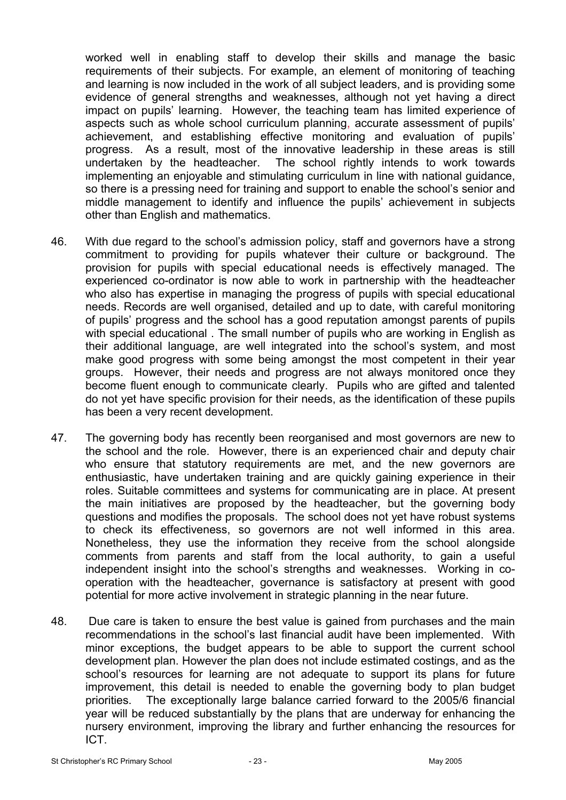worked well in enabling staff to develop their skills and manage the basic requirements of their subjects. For example, an element of monitoring of teaching and learning is now included in the work of all subject leaders, and is providing some evidence of general strengths and weaknesses, although not yet having a direct impact on pupils' learning. However, the teaching team has limited experience of aspects such as whole school curriculum planning, accurate assessment of pupils' achievement, and establishing effective monitoring and evaluation of pupils' progress. As a result, most of the innovative leadership in these areas is still undertaken by the headteacher. The school rightly intends to work towards implementing an enjoyable and stimulating curriculum in line with national guidance, so there is a pressing need for training and support to enable the school's senior and middle management to identify and influence the pupils' achievement in subjects other than English and mathematics.

- 46. With due regard to the school's admission policy, staff and governors have a strong commitment to providing for pupils whatever their culture or background. The provision for pupils with special educational needs is effectively managed. The experienced co-ordinator is now able to work in partnership with the headteacher who also has expertise in managing the progress of pupils with special educational needs. Records are well organised, detailed and up to date, with careful monitoring of pupils' progress and the school has a good reputation amongst parents of pupils with special educational . The small number of pupils who are working in English as their additional language, are well integrated into the school's system, and most make good progress with some being amongst the most competent in their year groups. However, their needs and progress are not always monitored once they become fluent enough to communicate clearly. Pupils who are gifted and talented do not yet have specific provision for their needs, as the identification of these pupils has been a very recent development.
- 47. The governing body has recently been reorganised and most governors are new to the school and the role. However, there is an experienced chair and deputy chair who ensure that statutory requirements are met, and the new governors are enthusiastic, have undertaken training and are quickly gaining experience in their roles. Suitable committees and systems for communicating are in place. At present the main initiatives are proposed by the headteacher, but the governing body questions and modifies the proposals. The school does not yet have robust systems to check its effectiveness, so governors are not well informed in this area. Nonetheless, they use the information they receive from the school alongside comments from parents and staff from the local authority, to gain a useful independent insight into the school's strengths and weaknesses. Working in cooperation with the headteacher, governance is satisfactory at present with good potential for more active involvement in strategic planning in the near future.
- 48. Due care is taken to ensure the best value is gained from purchases and the main recommendations in the school's last financial audit have been implemented. With minor exceptions, the budget appears to be able to support the current school development plan. However the plan does not include estimated costings, and as the school's resources for learning are not adequate to support its plans for future improvement, this detail is needed to enable the governing body to plan budget priorities. The exceptionally large balance carried forward to the 2005/6 financial year will be reduced substantially by the plans that are underway for enhancing the nursery environment, improving the library and further enhancing the resources for ICT.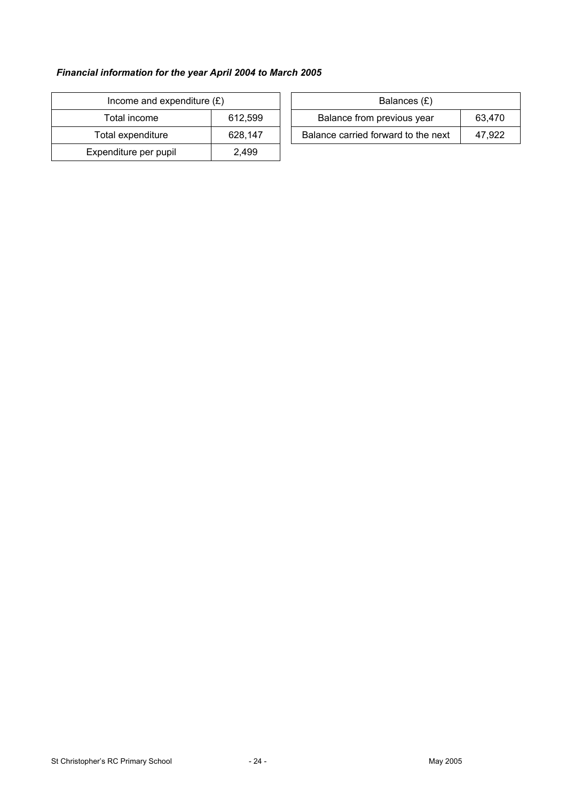### *Financial information for the year April 2004 to March 2005*

| Income and expenditure $(E)$ |         |  | Balances (£)                     |
|------------------------------|---------|--|----------------------------------|
| Total income                 | 612,599 |  | Balance from previous year       |
| Total expenditure            | 628.147 |  | Balance carried forward to the r |
| Expenditure per pupil        | 2.499   |  |                                  |

| Income and expenditure $(E)$ |         | Balances (£)                        |        |  |
|------------------------------|---------|-------------------------------------|--------|--|
| Total income                 | 612.599 | Balance from previous year          | 63.470 |  |
| Total expenditure            | 628.147 | Balance carried forward to the next | 47.922 |  |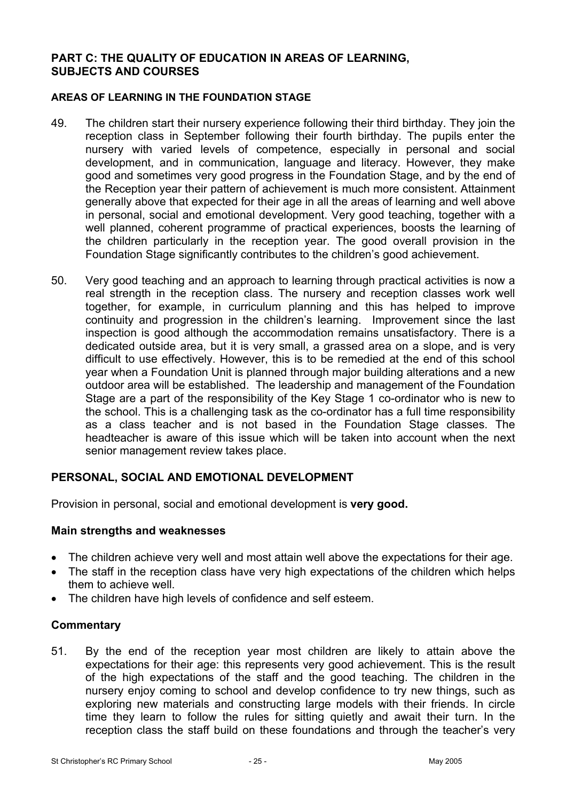### **PART C: THE QUALITY OF EDUCATION IN AREAS OF LEARNING, SUBJECTS AND COURSES**

#### **AREAS OF LEARNING IN THE FOUNDATION STAGE**

- 49. The children start their nursery experience following their third birthday. They join the reception class in September following their fourth birthday. The pupils enter the nursery with varied levels of competence, especially in personal and social development, and in communication, language and literacy. However, they make good and sometimes very good progress in the Foundation Stage, and by the end of the Reception year their pattern of achievement is much more consistent. Attainment generally above that expected for their age in all the areas of learning and well above in personal, social and emotional development. Very good teaching, together with a well planned, coherent programme of practical experiences, boosts the learning of the children particularly in the reception year. The good overall provision in the Foundation Stage significantly contributes to the children's good achievement.
- 50. Very good teaching and an approach to learning through practical activities is now a real strength in the reception class. The nursery and reception classes work well together, for example, in curriculum planning and this has helped to improve continuity and progression in the children's learning. Improvement since the last inspection is good although the accommodation remains unsatisfactory. There is a dedicated outside area, but it is very small, a grassed area on a slope, and is very difficult to use effectively. However, this is to be remedied at the end of this school year when a Foundation Unit is planned through major building alterations and a new outdoor area will be established. The leadership and management of the Foundation Stage are a part of the responsibility of the Key Stage 1 co-ordinator who is new to the school. This is a challenging task as the co-ordinator has a full time responsibility as a class teacher and is not based in the Foundation Stage classes. The headteacher is aware of this issue which will be taken into account when the next senior management review takes place.

### **PERSONAL, SOCIAL AND EMOTIONAL DEVELOPMENT**

Provision in personal, social and emotional development is **very good.**

#### **Main strengths and weaknesses**

- The children achieve very well and most attain well above the expectations for their age.
- The staff in the reception class have very high expectations of the children which helps them to achieve well.
- The children have high levels of confidence and self esteem.

#### **Commentary**

51. By the end of the reception year most children are likely to attain above the expectations for their age: this represents very good achievement. This is the result of the high expectations of the staff and the good teaching. The children in the nursery enjoy coming to school and develop confidence to try new things, such as exploring new materials and constructing large models with their friends. In circle time they learn to follow the rules for sitting quietly and await their turn. In the reception class the staff build on these foundations and through the teacher's very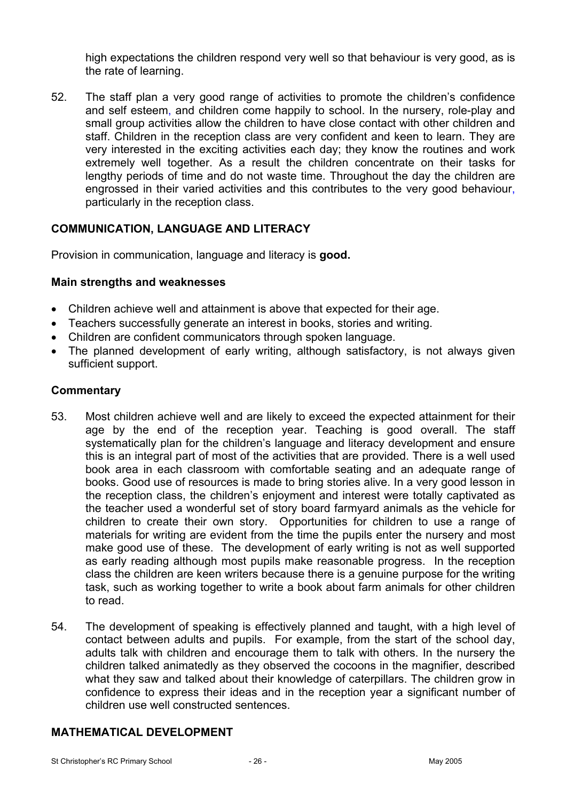high expectations the children respond very well so that behaviour is very good, as is the rate of learning.

52. The staff plan a very good range of activities to promote the children's confidence and self esteem, and children come happily to school. In the nursery, role-play and small group activities allow the children to have close contact with other children and staff. Children in the reception class are very confident and keen to learn. They are very interested in the exciting activities each day; they know the routines and work extremely well together. As a result the children concentrate on their tasks for lengthy periods of time and do not waste time. Throughout the day the children are engrossed in their varied activities and this contributes to the very good behaviour, particularly in the reception class.

## **COMMUNICATION, LANGUAGE AND LITERACY**

Provision in communication, language and literacy is **good.** 

#### **Main strengths and weaknesses**

- Children achieve well and attainment is above that expected for their age.
- Teachers successfully generate an interest in books, stories and writing.
- Children are confident communicators through spoken language.
- The planned development of early writing, although satisfactory, is not always given sufficient support.

#### **Commentary**

- 53. Most children achieve well and are likely to exceed the expected attainment for their age by the end of the reception year. Teaching is good overall. The staff systematically plan for the children's language and literacy development and ensure this is an integral part of most of the activities that are provided. There is a well used book area in each classroom with comfortable seating and an adequate range of books. Good use of resources is made to bring stories alive. In a very good lesson in the reception class, the children's enjoyment and interest were totally captivated as the teacher used a wonderful set of story board farmyard animals as the vehicle for children to create their own story. Opportunities for children to use a range of materials for writing are evident from the time the pupils enter the nursery and most make good use of these. The development of early writing is not as well supported as early reading although most pupils make reasonable progress. In the reception class the children are keen writers because there is a genuine purpose for the writing task, such as working together to write a book about farm animals for other children to read.
- 54. The development of speaking is effectively planned and taught, with a high level of contact between adults and pupils. For example, from the start of the school day, adults talk with children and encourage them to talk with others. In the nursery the children talked animatedly as they observed the cocoons in the magnifier, described what they saw and talked about their knowledge of caterpillars. The children grow in confidence to express their ideas and in the reception year a significant number of children use well constructed sentences.

### **MATHEMATICAL DEVELOPMENT**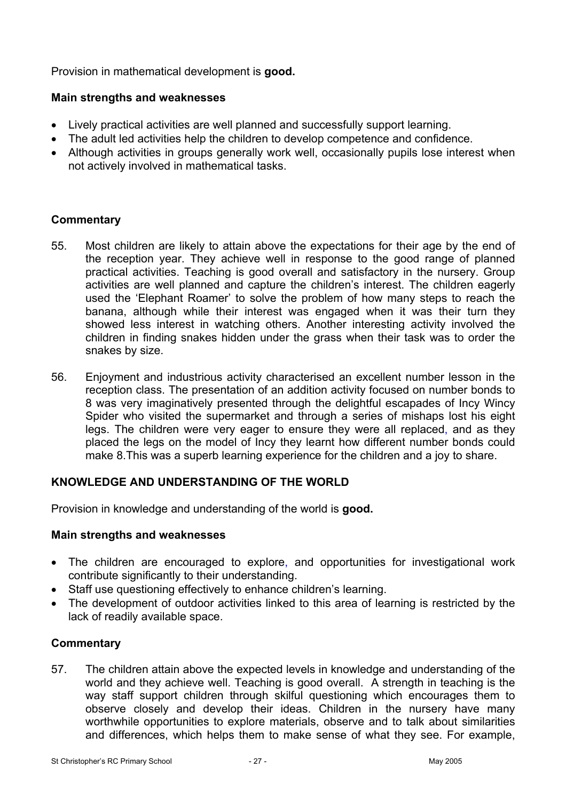Provision in mathematical development is **good.**

### **Main strengths and weaknesses**

- Lively practical activities are well planned and successfully support learning.
- The adult led activities help the children to develop competence and confidence.
- Although activities in groups generally work well, occasionally pupils lose interest when not actively involved in mathematical tasks.

## **Commentary**

- 55. Most children are likely to attain above the expectations for their age by the end of the reception year. They achieve well in response to the good range of planned practical activities. Teaching is good overall and satisfactory in the nursery. Group activities are well planned and capture the children's interest. The children eagerly used the 'Elephant Roamer' to solve the problem of how many steps to reach the banana, although while their interest was engaged when it was their turn they showed less interest in watching others. Another interesting activity involved the children in finding snakes hidden under the grass when their task was to order the snakes by size.
- 56. Enjoyment and industrious activity characterised an excellent number lesson in the reception class. The presentation of an addition activity focused on number bonds to 8 was very imaginatively presented through the delightful escapades of Incy Wincy Spider who visited the supermarket and through a series of mishaps lost his eight legs. The children were very eager to ensure they were all replaced, and as they placed the legs on the model of Incy they learnt how different number bonds could make 8.This was a superb learning experience for the children and a joy to share.

## **KNOWLEDGE AND UNDERSTANDING OF THE WORLD**

Provision in knowledge and understanding of the world is **good.** 

### **Main strengths and weaknesses**

- The children are encouraged to explore, and opportunities for investigational work contribute significantly to their understanding.
- Staff use questioning effectively to enhance children's learning.
- The development of outdoor activities linked to this area of learning is restricted by the lack of readily available space.

### **Commentary**

57. The children attain above the expected levels in knowledge and understanding of the world and they achieve well. Teaching is good overall. A strength in teaching is the way staff support children through skilful questioning which encourages them to observe closely and develop their ideas. Children in the nursery have many worthwhile opportunities to explore materials, observe and to talk about similarities and differences, which helps them to make sense of what they see. For example,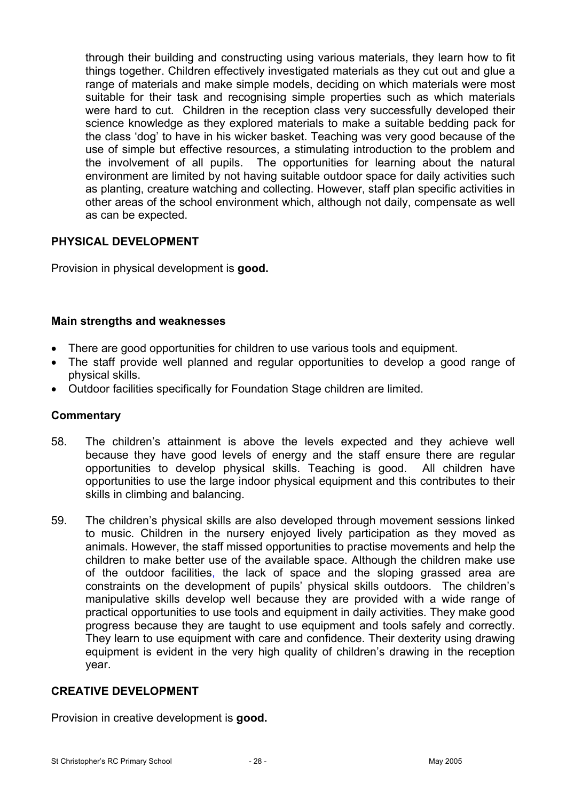through their building and constructing using various materials, they learn how to fit things together. Children effectively investigated materials as they cut out and glue a range of materials and make simple models, deciding on which materials were most suitable for their task and recognising simple properties such as which materials were hard to cut. Children in the reception class very successfully developed their science knowledge as they explored materials to make a suitable bedding pack for the class 'dog' to have in his wicker basket. Teaching was very good because of the use of simple but effective resources, a stimulating introduction to the problem and the involvement of all pupils. The opportunities for learning about the natural environment are limited by not having suitable outdoor space for daily activities such as planting, creature watching and collecting. However, staff plan specific activities in other areas of the school environment which, although not daily, compensate as well as can be expected.

## **PHYSICAL DEVELOPMENT**

Provision in physical development is **good.** 

## **Main strengths and weaknesses**

- There are good opportunities for children to use various tools and equipment.
- The staff provide well planned and regular opportunities to develop a good range of physical skills.
- Outdoor facilities specifically for Foundation Stage children are limited.

### **Commentary**

- 58. The children's attainment is above the levels expected and they achieve well because they have good levels of energy and the staff ensure there are regular opportunities to develop physical skills. Teaching is good. All children have opportunities to use the large indoor physical equipment and this contributes to their skills in climbing and balancing.
- 59. The children's physical skills are also developed through movement sessions linked to music. Children in the nursery enjoyed lively participation as they moved as animals. However, the staff missed opportunities to practise movements and help the children to make better use of the available space. Although the children make use of the outdoor facilities, the lack of space and the sloping grassed area are constraints on the development of pupils' physical skills outdoors. The children's manipulative skills develop well because they are provided with a wide range of practical opportunities to use tools and equipment in daily activities. They make good progress because they are taught to use equipment and tools safely and correctly. They learn to use equipment with care and confidence. Their dexterity using drawing equipment is evident in the very high quality of children's drawing in the reception year.

### **CREATIVE DEVELOPMENT**

Provision in creative development is **good.**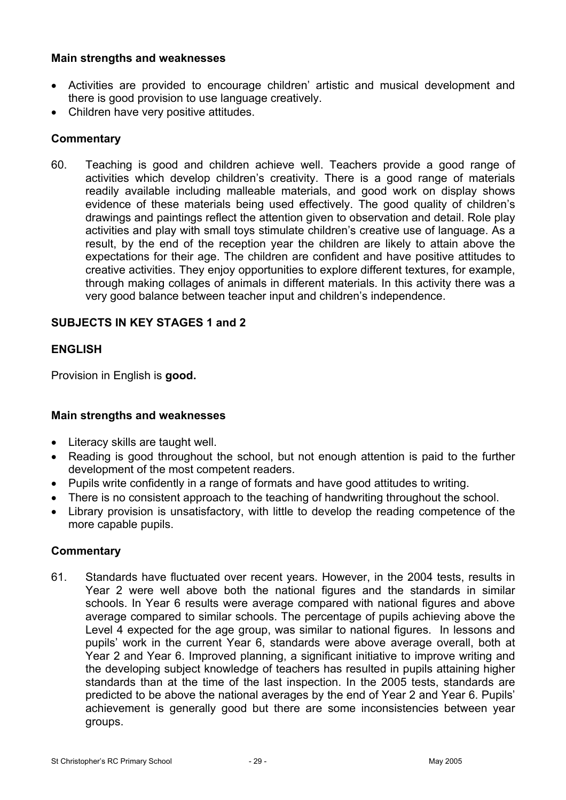### **Main strengths and weaknesses**

- Activities are provided to encourage children' artistic and musical development and there is good provision to use language creatively.
- Children have very positive attitudes.

## **Commentary**

60. Teaching is good and children achieve well. Teachers provide a good range of activities which develop children's creativity. There is a good range of materials readily available including malleable materials, and good work on display shows evidence of these materials being used effectively. The good quality of children's drawings and paintings reflect the attention given to observation and detail. Role play activities and play with small toys stimulate children's creative use of language. As a result, by the end of the reception year the children are likely to attain above the expectations for their age. The children are confident and have positive attitudes to creative activities. They enjoy opportunities to explore different textures, for example, through making collages of animals in different materials. In this activity there was a very good balance between teacher input and children's independence.

## **SUBJECTS IN KEY STAGES 1 and 2**

### **ENGLISH**

Provision in English is **good.** 

### **Main strengths and weaknesses**

- Literacy skills are taught well.
- Reading is good throughout the school, but not enough attention is paid to the further development of the most competent readers.
- Pupils write confidently in a range of formats and have good attitudes to writing.
- There is no consistent approach to the teaching of handwriting throughout the school.
- Library provision is unsatisfactory, with little to develop the reading competence of the more capable pupils.

### **Commentary**

61. Standards have fluctuated over recent years. However, in the 2004 tests, results in Year 2 were well above both the national figures and the standards in similar schools. In Year 6 results were average compared with national figures and above average compared to similar schools. The percentage of pupils achieving above the Level 4 expected for the age group, was similar to national figures. In lessons and pupils' work in the current Year 6, standards were above average overall, both at Year 2 and Year 6. Improved planning, a significant initiative to improve writing and the developing subject knowledge of teachers has resulted in pupils attaining higher standards than at the time of the last inspection. In the 2005 tests, standards are predicted to be above the national averages by the end of Year 2 and Year 6. Pupils' achievement is generally good but there are some inconsistencies between year groups.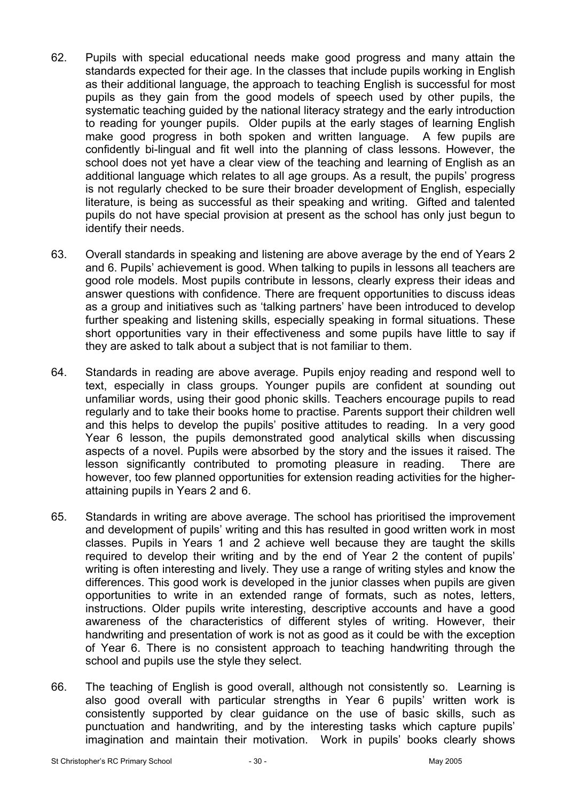- 62. Pupils with special educational needs make good progress and many attain the standards expected for their age. In the classes that include pupils working in English as their additional language, the approach to teaching English is successful for most pupils as they gain from the good models of speech used by other pupils, the systematic teaching guided by the national literacy strategy and the early introduction to reading for younger pupils. Older pupils at the early stages of learning English make good progress in both spoken and written language. A few pupils are confidently bi-lingual and fit well into the planning of class lessons. However, the school does not yet have a clear view of the teaching and learning of English as an additional language which relates to all age groups. As a result, the pupils' progress is not regularly checked to be sure their broader development of English, especially literature, is being as successful as their speaking and writing. Gifted and talented pupils do not have special provision at present as the school has only just begun to identify their needs.
- 63. Overall standards in speaking and listening are above average by the end of Years 2 and 6. Pupils' achievement is good. When talking to pupils in lessons all teachers are good role models. Most pupils contribute in lessons, clearly express their ideas and answer questions with confidence. There are frequent opportunities to discuss ideas as a group and initiatives such as 'talking partners' have been introduced to develop further speaking and listening skills, especially speaking in formal situations. These short opportunities vary in their effectiveness and some pupils have little to say if they are asked to talk about a subject that is not familiar to them.
- 64. Standards in reading are above average. Pupils enjoy reading and respond well to text, especially in class groups. Younger pupils are confident at sounding out unfamiliar words, using their good phonic skills. Teachers encourage pupils to read regularly and to take their books home to practise. Parents support their children well and this helps to develop the pupils' positive attitudes to reading. In a very good Year 6 lesson, the pupils demonstrated good analytical skills when discussing aspects of a novel. Pupils were absorbed by the story and the issues it raised. The lesson significantly contributed to promoting pleasure in reading. There are however, too few planned opportunities for extension reading activities for the higherattaining pupils in Years 2 and 6.
- 65. Standards in writing are above average. The school has prioritised the improvement and development of pupils' writing and this has resulted in good written work in most classes. Pupils in Years 1 and 2 achieve well because they are taught the skills required to develop their writing and by the end of Year 2 the content of pupils' writing is often interesting and lively. They use a range of writing styles and know the differences. This good work is developed in the junior classes when pupils are given opportunities to write in an extended range of formats, such as notes, letters, instructions. Older pupils write interesting, descriptive accounts and have a good awareness of the characteristics of different styles of writing. However, their handwriting and presentation of work is not as good as it could be with the exception of Year 6. There is no consistent approach to teaching handwriting through the school and pupils use the style they select.
- 66. The teaching of English is good overall, although not consistently so. Learning is also good overall with particular strengths in Year 6 pupils' written work is consistently supported by clear guidance on the use of basic skills, such as punctuation and handwriting, and by the interesting tasks which capture pupils' imagination and maintain their motivation. Work in pupils' books clearly shows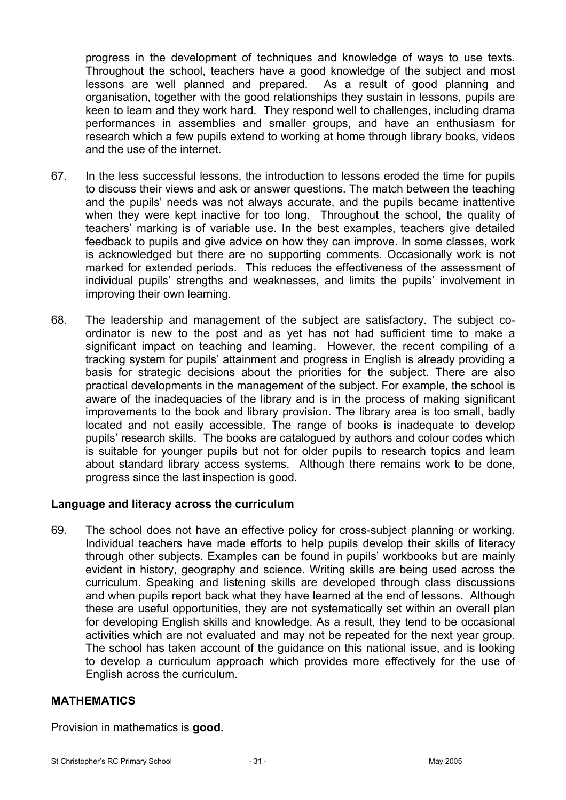progress in the development of techniques and knowledge of ways to use texts. Throughout the school, teachers have a good knowledge of the subject and most lessons are well planned and prepared. As a result of good planning and organisation, together with the good relationships they sustain in lessons, pupils are keen to learn and they work hard. They respond well to challenges, including drama performances in assemblies and smaller groups, and have an enthusiasm for research which a few pupils extend to working at home through library books, videos and the use of the internet.

- 67. In the less successful lessons, the introduction to lessons eroded the time for pupils to discuss their views and ask or answer questions. The match between the teaching and the pupils' needs was not always accurate, and the pupils became inattentive when they were kept inactive for too long. Throughout the school, the quality of teachers' marking is of variable use. In the best examples, teachers give detailed feedback to pupils and give advice on how they can improve. In some classes, work is acknowledged but there are no supporting comments. Occasionally work is not marked for extended periods. This reduces the effectiveness of the assessment of individual pupils' strengths and weaknesses, and limits the pupils' involvement in improving their own learning.
- 68. The leadership and management of the subject are satisfactory. The subject coordinator is new to the post and as yet has not had sufficient time to make a significant impact on teaching and learning. However, the recent compiling of a tracking system for pupils' attainment and progress in English is already providing a basis for strategic decisions about the priorities for the subject. There are also practical developments in the management of the subject. For example, the school is aware of the inadequacies of the library and is in the process of making significant improvements to the book and library provision. The library area is too small, badly located and not easily accessible. The range of books is inadequate to develop pupils' research skills. The books are catalogued by authors and colour codes which is suitable for younger pupils but not for older pupils to research topics and learn about standard library access systems. Although there remains work to be done, progress since the last inspection is good.

### **Language and literacy across the curriculum**

69. The school does not have an effective policy for cross-subject planning or working. Individual teachers have made efforts to help pupils develop their skills of literacy through other subjects. Examples can be found in pupils' workbooks but are mainly evident in history, geography and science. Writing skills are being used across the curriculum. Speaking and listening skills are developed through class discussions and when pupils report back what they have learned at the end of lessons. Although these are useful opportunities, they are not systematically set within an overall plan for developing English skills and knowledge. As a result, they tend to be occasional activities which are not evaluated and may not be repeated for the next year group. The school has taken account of the guidance on this national issue, and is looking to develop a curriculum approach which provides more effectively for the use of English across the curriculum.

### **MATHEMATICS**

Provision in mathematics is **good.**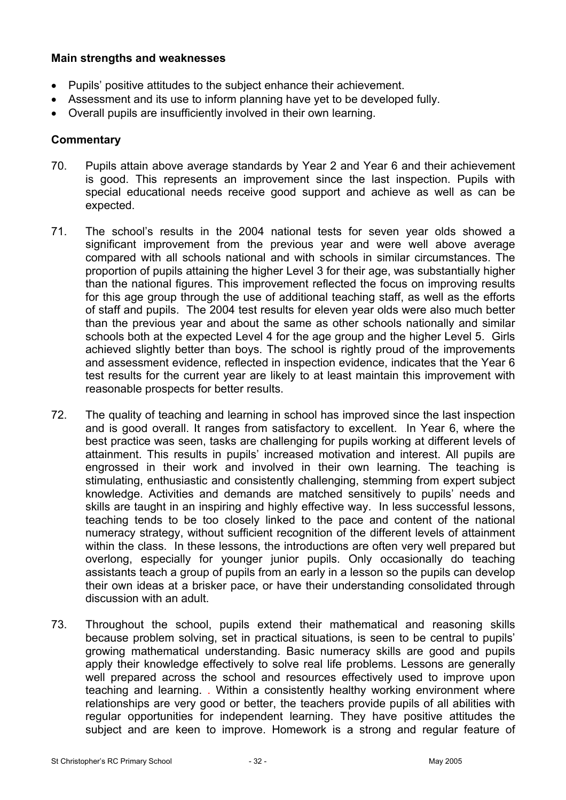### **Main strengths and weaknesses**

- Pupils' positive attitudes to the subject enhance their achievement.
- Assessment and its use to inform planning have yet to be developed fully.
- Overall pupils are insufficiently involved in their own learning.

- 70. Pupils attain above average standards by Year 2 and Year 6 and their achievement is good. This represents an improvement since the last inspection. Pupils with special educational needs receive good support and achieve as well as can be expected.
- 71. The school's results in the 2004 national tests for seven year olds showed a significant improvement from the previous year and were well above average compared with all schools national and with schools in similar circumstances. The proportion of pupils attaining the higher Level 3 for their age, was substantially higher than the national figures. This improvement reflected the focus on improving results for this age group through the use of additional teaching staff, as well as the efforts of staff and pupils. The 2004 test results for eleven year olds were also much better than the previous year and about the same as other schools nationally and similar schools both at the expected Level 4 for the age group and the higher Level 5. Girls achieved slightly better than boys. The school is rightly proud of the improvements and assessment evidence, reflected in inspection evidence, indicates that the Year 6 test results for the current year are likely to at least maintain this improvement with reasonable prospects for better results.
- 72. The quality of teaching and learning in school has improved since the last inspection and is good overall. It ranges from satisfactory to excellent. In Year 6, where the best practice was seen, tasks are challenging for pupils working at different levels of attainment. This results in pupils' increased motivation and interest. All pupils are engrossed in their work and involved in their own learning. The teaching is stimulating, enthusiastic and consistently challenging, stemming from expert subject knowledge. Activities and demands are matched sensitively to pupils' needs and skills are taught in an inspiring and highly effective way. In less successful lessons, teaching tends to be too closely linked to the pace and content of the national numeracy strategy, without sufficient recognition of the different levels of attainment within the class. In these lessons, the introductions are often very well prepared but overlong, especially for younger junior pupils. Only occasionally do teaching assistants teach a group of pupils from an early in a lesson so the pupils can develop their own ideas at a brisker pace, or have their understanding consolidated through discussion with an adult.
- 73. Throughout the school, pupils extend their mathematical and reasoning skills because problem solving, set in practical situations, is seen to be central to pupils' growing mathematical understanding. Basic numeracy skills are good and pupils apply their knowledge effectively to solve real life problems. Lessons are generally well prepared across the school and resources effectively used to improve upon teaching and learning. . Within a consistently healthy working environment where relationships are very good or better, the teachers provide pupils of all abilities with regular opportunities for independent learning. They have positive attitudes the subject and are keen to improve. Homework is a strong and regular feature of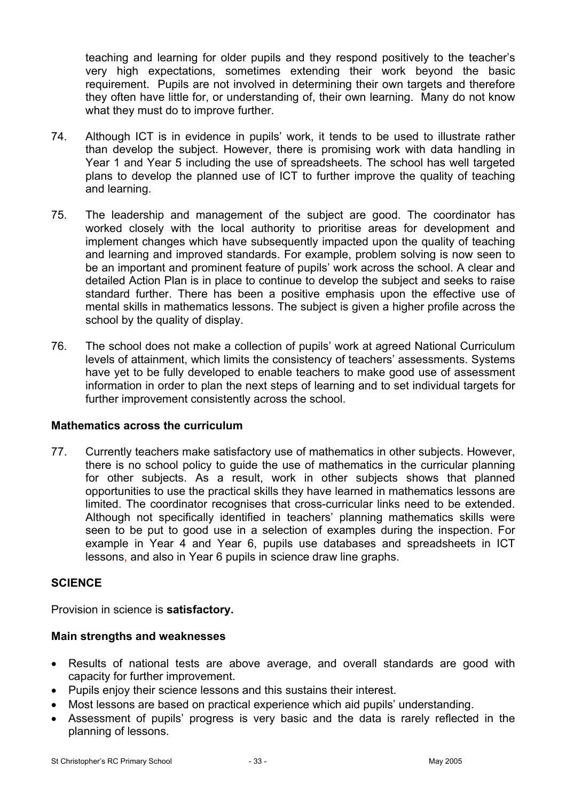teaching and learning for older pupils and they respond positively to the teacher's very high expectations, sometimes extending their work beyond the basic requirement. Pupils are not involved in determining their own targets and therefore they often have little for, or understanding of, their own learning. Many do not know what they must do to improve further.

- 74. Although ICT is in evidence in pupils' work, it tends to be used to illustrate rather than develop the subject. However, there is promising work with data handling in Year 1 and Year 5 including the use of spreadsheets. The school has well targeted plans to develop the planned use of ICT to further improve the quality of teaching and learning.
- 75. The leadership and management of the subject are good. The coordinator has worked closely with the local authority to prioritise areas for development and implement changes which have subsequently impacted upon the quality of teaching and learning and improved standards. For example, problem solving is now seen to be an important and prominent feature of pupils' work across the school. A clear and detailed Action Plan is in place to continue to develop the subject and seeks to raise standard further. There has been a positive emphasis upon the effective use of mental skills in mathematics lessons. The subject is given a higher profile across the school by the quality of display.
- 76. The school does not make a collection of pupils' work at agreed National Curriculum levels of attainment, which limits the consistency of teachers' assessments. Systems have yet to be fully developed to enable teachers to make good use of assessment information in order to plan the next steps of learning and to set individual targets for further improvement consistently across the school.

### **Mathematics across the curriculum**

77. Currently teachers make satisfactory use of mathematics in other subjects. However, there is no school policy to guide the use of mathematics in the curricular planning for other subjects. As a result, work in other subjects shows that planned opportunities to use the practical skills they have learned in mathematics lessons are limited. The coordinator recognises that cross-curricular links need to be extended. Although not specifically identified in teachers' planning mathematics skills were seen to be put to good use in a selection of examples during the inspection. For example in Year 4 and Year 6, pupils use databases and spreadsheets in ICT lessons, and also in Year 6 pupils in science draw line graphs.

### **SCIENCE**

Provision in science is **satisfactory.**

### **Main strengths and weaknesses**

- Results of national tests are above average, and overall standards are good with capacity for further improvement.
- Pupils enjoy their science lessons and this sustains their interest.
- Most lessons are based on practical experience which aid pupils' understanding.
- Assessment of pupils' progress is very basic and the data is rarely reflected in the planning of lessons.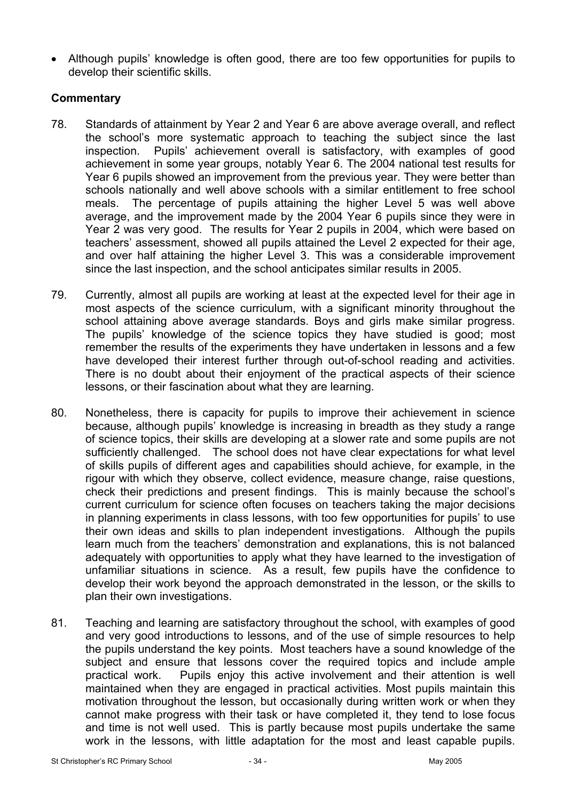• Although pupils' knowledge is often good, there are too few opportunities for pupils to develop their scientific skills.

- 78. Standards of attainment by Year 2 and Year 6 are above average overall, and reflect the school's more systematic approach to teaching the subject since the last inspection. Pupils' achievement overall is satisfactory, with examples of good achievement in some year groups, notably Year 6. The 2004 national test results for Year 6 pupils showed an improvement from the previous year. They were better than schools nationally and well above schools with a similar entitlement to free school meals. The percentage of pupils attaining the higher Level 5 was well above average, and the improvement made by the 2004 Year 6 pupils since they were in Year 2 was very good. The results for Year 2 pupils in 2004, which were based on teachers' assessment, showed all pupils attained the Level 2 expected for their age, and over half attaining the higher Level 3. This was a considerable improvement since the last inspection, and the school anticipates similar results in 2005.
- 79. Currently, almost all pupils are working at least at the expected level for their age in most aspects of the science curriculum, with a significant minority throughout the school attaining above average standards. Boys and girls make similar progress. The pupils' knowledge of the science topics they have studied is good; most remember the results of the experiments they have undertaken in lessons and a few have developed their interest further through out-of-school reading and activities. There is no doubt about their enjoyment of the practical aspects of their science lessons, or their fascination about what they are learning.
- 80. Nonetheless, there is capacity for pupils to improve their achievement in science because, although pupils' knowledge is increasing in breadth as they study a range of science topics, their skills are developing at a slower rate and some pupils are not sufficiently challenged. The school does not have clear expectations for what level of skills pupils of different ages and capabilities should achieve, for example, in the rigour with which they observe, collect evidence, measure change, raise questions, check their predictions and present findings. This is mainly because the school's current curriculum for science often focuses on teachers taking the major decisions in planning experiments in class lessons, with too few opportunities for pupils' to use their own ideas and skills to plan independent investigations. Although the pupils learn much from the teachers' demonstration and explanations, this is not balanced adequately with opportunities to apply what they have learned to the investigation of unfamiliar situations in science. As a result, few pupils have the confidence to develop their work beyond the approach demonstrated in the lesson, or the skills to plan their own investigations.
- 81. Teaching and learning are satisfactory throughout the school, with examples of good and very good introductions to lessons, and of the use of simple resources to help the pupils understand the key points. Most teachers have a sound knowledge of the subject and ensure that lessons cover the required topics and include ample practical work. Pupils enjoy this active involvement and their attention is well maintained when they are engaged in practical activities. Most pupils maintain this motivation throughout the lesson, but occasionally during written work or when they cannot make progress with their task or have completed it, they tend to lose focus and time is not well used. This is partly because most pupils undertake the same work in the lessons, with little adaptation for the most and least capable pupils.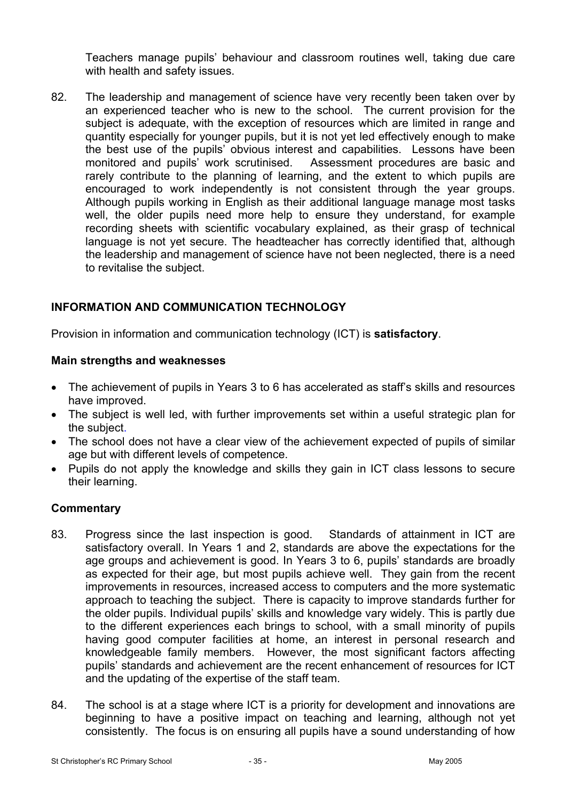Teachers manage pupils' behaviour and classroom routines well, taking due care with health and safety issues.

82. The leadership and management of science have very recently been taken over by an experienced teacher who is new to the school. The current provision for the subject is adequate, with the exception of resources which are limited in range and quantity especially for younger pupils, but it is not yet led effectively enough to make the best use of the pupils' obvious interest and capabilities. Lessons have been monitored and pupils' work scrutinised. Assessment procedures are basic and rarely contribute to the planning of learning, and the extent to which pupils are encouraged to work independently is not consistent through the year groups. Although pupils working in English as their additional language manage most tasks well, the older pupils need more help to ensure they understand, for example recording sheets with scientific vocabulary explained, as their grasp of technical language is not yet secure. The headteacher has correctly identified that, although the leadership and management of science have not been neglected, there is a need to revitalise the subject.

## **INFORMATION AND COMMUNICATION TECHNOLOGY**

Provision in information and communication technology (ICT) is **satisfactory**.

## **Main strengths and weaknesses**

- The achievement of pupils in Years 3 to 6 has accelerated as staff's skills and resources have improved.
- The subiect is well led, with further improvements set within a useful strategic plan for the subject.
- The school does not have a clear view of the achievement expected of pupils of similar age but with different levels of competence.
- Pupils do not apply the knowledge and skills they gain in ICT class lessons to secure their learning.

- 83. Progress since the last inspection is good. Standards of attainment in ICT are satisfactory overall. In Years 1 and 2, standards are above the expectations for the age groups and achievement is good. In Years 3 to 6, pupils' standards are broadly as expected for their age, but most pupils achieve well. They gain from the recent improvements in resources, increased access to computers and the more systematic approach to teaching the subject. There is capacity to improve standards further for the older pupils. Individual pupils' skills and knowledge vary widely. This is partly due to the different experiences each brings to school, with a small minority of pupils having good computer facilities at home, an interest in personal research and knowledgeable family members. However, the most significant factors affecting pupils' standards and achievement are the recent enhancement of resources for ICT and the updating of the expertise of the staff team.
- 84. The school is at a stage where ICT is a priority for development and innovations are beginning to have a positive impact on teaching and learning, although not yet consistently. The focus is on ensuring all pupils have a sound understanding of how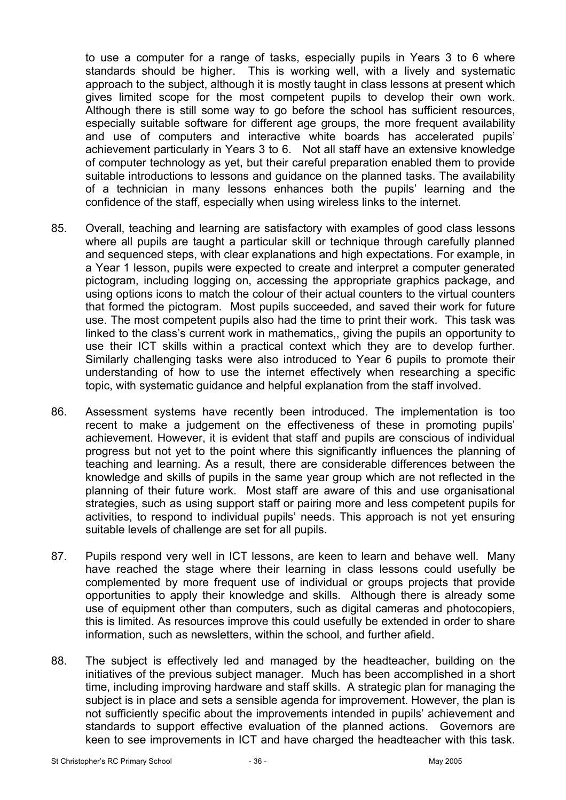to use a computer for a range of tasks, especially pupils in Years 3 to 6 where standards should be higher. This is working well, with a lively and systematic approach to the subject, although it is mostly taught in class lessons at present which gives limited scope for the most competent pupils to develop their own work. Although there is still some way to go before the school has sufficient resources, especially suitable software for different age groups, the more frequent availability and use of computers and interactive white boards has accelerated pupils' achievement particularly in Years 3 to 6. Not all staff have an extensive knowledge of computer technology as yet, but their careful preparation enabled them to provide suitable introductions to lessons and guidance on the planned tasks. The availability of a technician in many lessons enhances both the pupils' learning and the confidence of the staff, especially when using wireless links to the internet.

- 85. Overall, teaching and learning are satisfactory with examples of good class lessons where all pupils are taught a particular skill or technique through carefully planned and sequenced steps, with clear explanations and high expectations. For example, in a Year 1 lesson, pupils were expected to create and interpret a computer generated pictogram, including logging on, accessing the appropriate graphics package, and using options icons to match the colour of their actual counters to the virtual counters that formed the pictogram. Most pupils succeeded, and saved their work for future use. The most competent pupils also had the time to print their work. This task was linked to the class's current work in mathematics,, giving the pupils an opportunity to use their ICT skills within a practical context which they are to develop further. Similarly challenging tasks were also introduced to Year 6 pupils to promote their understanding of how to use the internet effectively when researching a specific topic, with systematic guidance and helpful explanation from the staff involved.
- 86. Assessment systems have recently been introduced. The implementation is too recent to make a judgement on the effectiveness of these in promoting pupils' achievement. However, it is evident that staff and pupils are conscious of individual progress but not yet to the point where this significantly influences the planning of teaching and learning. As a result, there are considerable differences between the knowledge and skills of pupils in the same year group which are not reflected in the planning of their future work. Most staff are aware of this and use organisational strategies, such as using support staff or pairing more and less competent pupils for activities, to respond to individual pupils' needs. This approach is not yet ensuring suitable levels of challenge are set for all pupils.
- 87. Pupils respond very well in ICT lessons, are keen to learn and behave well. Many have reached the stage where their learning in class lessons could usefully be complemented by more frequent use of individual or groups projects that provide opportunities to apply their knowledge and skills. Although there is already some use of equipment other than computers, such as digital cameras and photocopiers, this is limited. As resources improve this could usefully be extended in order to share information, such as newsletters, within the school, and further afield.
- 88. The subject is effectively led and managed by the headteacher, building on the initiatives of the previous subject manager. Much has been accomplished in a short time, including improving hardware and staff skills. A strategic plan for managing the subject is in place and sets a sensible agenda for improvement. However, the plan is not sufficiently specific about the improvements intended in pupils' achievement and standards to support effective evaluation of the planned actions. Governors are keen to see improvements in ICT and have charged the headteacher with this task.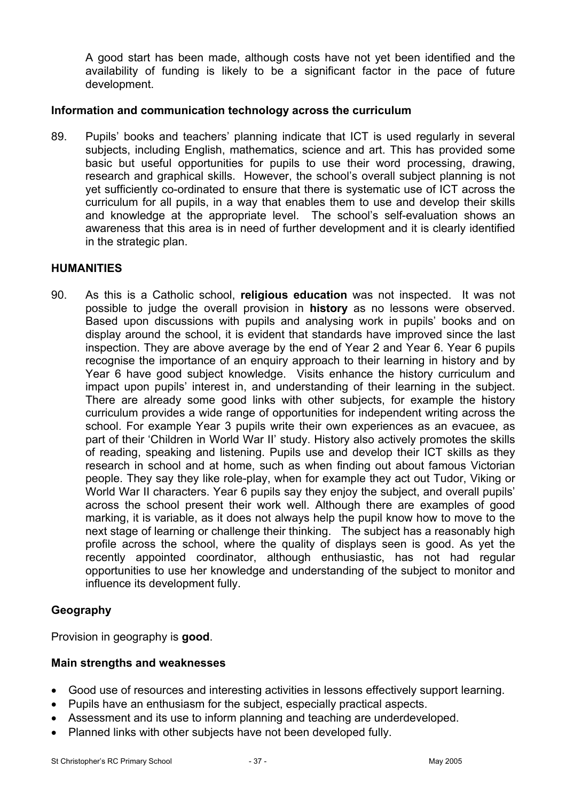A good start has been made, although costs have not yet been identified and the availability of funding is likely to be a significant factor in the pace of future development.

### **Information and communication technology across the curriculum**

89. Pupils' books and teachers' planning indicate that ICT is used regularly in several subjects, including English, mathematics, science and art. This has provided some basic but useful opportunities for pupils to use their word processing, drawing, research and graphical skills. However, the school's overall subject planning is not yet sufficiently co-ordinated to ensure that there is systematic use of ICT across the curriculum for all pupils, in a way that enables them to use and develop their skills and knowledge at the appropriate level. The school's self-evaluation shows an awareness that this area is in need of further development and it is clearly identified in the strategic plan.

#### **HUMANITIES**

90. As this is a Catholic school, **religious education** was not inspected. It was not possible to judge the overall provision in **history** as no lessons were observed. Based upon discussions with pupils and analysing work in pupils' books and on display around the school, it is evident that standards have improved since the last inspection. They are above average by the end of Year 2 and Year 6. Year 6 pupils recognise the importance of an enquiry approach to their learning in history and by Year 6 have good subject knowledge. Visits enhance the history curriculum and impact upon pupils' interest in, and understanding of their learning in the subject. There are already some good links with other subjects, for example the history curriculum provides a wide range of opportunities for independent writing across the school. For example Year 3 pupils write their own experiences as an evacuee, as part of their 'Children in World War II' study. History also actively promotes the skills of reading, speaking and listening. Pupils use and develop their ICT skills as they research in school and at home, such as when finding out about famous Victorian people. They say they like role-play, when for example they act out Tudor, Viking or World War II characters. Year 6 pupils say they enjoy the subject, and overall pupils' across the school present their work well. Although there are examples of good marking, it is variable, as it does not always help the pupil know how to move to the next stage of learning or challenge their thinking. The subject has a reasonably high profile across the school, where the quality of displays seen is good. As yet the recently appointed coordinator, although enthusiastic, has not had regular opportunities to use her knowledge and understanding of the subject to monitor and influence its development fully.

## **Geography**

Provision in geography is **good**.

### **Main strengths and weaknesses**

- Good use of resources and interesting activities in lessons effectively support learning.
- Pupils have an enthusiasm for the subject, especially practical aspects.
- Assessment and its use to inform planning and teaching are underdeveloped.
- Planned links with other subjects have not been developed fully.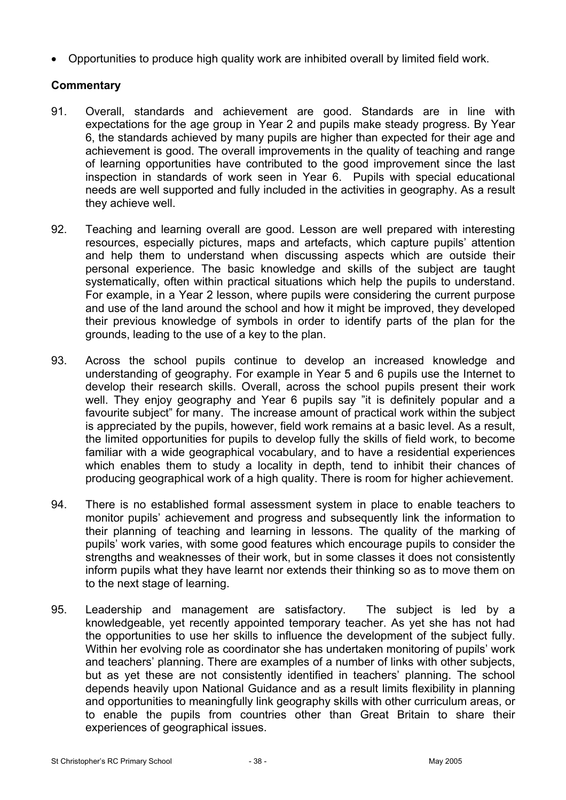• Opportunities to produce high quality work are inhibited overall by limited field work.

- 91. Overall, standards and achievement are good. Standards are in line with expectations for the age group in Year 2 and pupils make steady progress. By Year 6, the standards achieved by many pupils are higher than expected for their age and achievement is good. The overall improvements in the quality of teaching and range of learning opportunities have contributed to the good improvement since the last inspection in standards of work seen in Year 6. Pupils with special educational needs are well supported and fully included in the activities in geography. As a result they achieve well.
- 92. Teaching and learning overall are good. Lesson are well prepared with interesting resources, especially pictures, maps and artefacts, which capture pupils' attention and help them to understand when discussing aspects which are outside their personal experience. The basic knowledge and skills of the subject are taught systematically, often within practical situations which help the pupils to understand. For example, in a Year 2 lesson, where pupils were considering the current purpose and use of the land around the school and how it might be improved, they developed their previous knowledge of symbols in order to identify parts of the plan for the grounds, leading to the use of a key to the plan.
- 93. Across the school pupils continue to develop an increased knowledge and understanding of geography. For example in Year 5 and 6 pupils use the Internet to develop their research skills. Overall, across the school pupils present their work well. They enjoy geography and Year 6 pupils say "it is definitely popular and a favourite subject" for many. The increase amount of practical work within the subject is appreciated by the pupils, however, field work remains at a basic level. As a result, the limited opportunities for pupils to develop fully the skills of field work, to become familiar with a wide geographical vocabulary, and to have a residential experiences which enables them to study a locality in depth, tend to inhibit their chances of producing geographical work of a high quality. There is room for higher achievement.
- 94. There is no established formal assessment system in place to enable teachers to monitor pupils' achievement and progress and subsequently link the information to their planning of teaching and learning in lessons. The quality of the marking of pupils' work varies, with some good features which encourage pupils to consider the strengths and weaknesses of their work, but in some classes it does not consistently inform pupils what they have learnt nor extends their thinking so as to move them on to the next stage of learning.
- 95. Leadership and management are satisfactory. The subject is led by a knowledgeable, yet recently appointed temporary teacher. As yet she has not had the opportunities to use her skills to influence the development of the subject fully. Within her evolving role as coordinator she has undertaken monitoring of pupils' work and teachers' planning. There are examples of a number of links with other subjects, but as yet these are not consistently identified in teachers' planning. The school depends heavily upon National Guidance and as a result limits flexibility in planning and opportunities to meaningfully link geography skills with other curriculum areas, or to enable the pupils from countries other than Great Britain to share their experiences of geographical issues.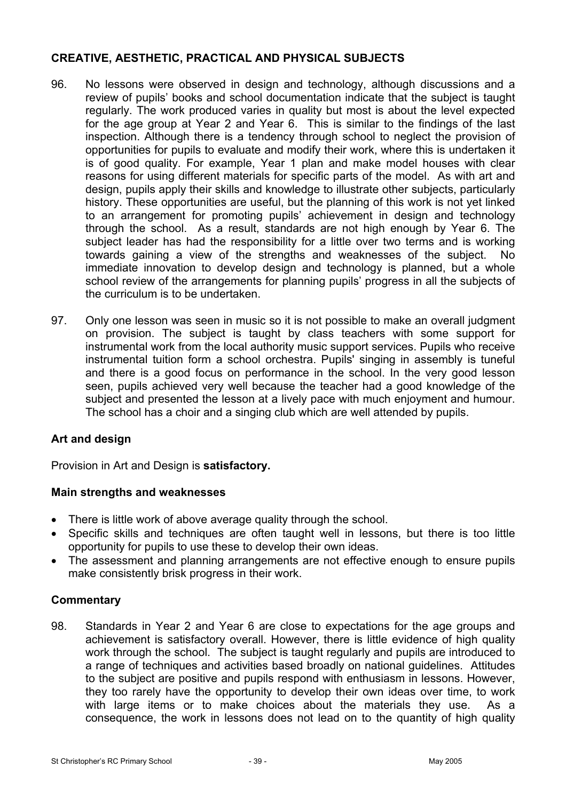## **CREATIVE, AESTHETIC, PRACTICAL AND PHYSICAL SUBJECTS**

- 96. No lessons were observed in design and technology, although discussions and a review of pupils' books and school documentation indicate that the subject is taught regularly. The work produced varies in quality but most is about the level expected for the age group at Year 2 and Year 6. This is similar to the findings of the last inspection. Although there is a tendency through school to neglect the provision of opportunities for pupils to evaluate and modify their work, where this is undertaken it is of good quality. For example, Year 1 plan and make model houses with clear reasons for using different materials for specific parts of the model. As with art and design, pupils apply their skills and knowledge to illustrate other subjects, particularly history. These opportunities are useful, but the planning of this work is not yet linked to an arrangement for promoting pupils' achievement in design and technology through the school. As a result, standards are not high enough by Year 6. The subject leader has had the responsibility for a little over two terms and is working towards gaining a view of the strengths and weaknesses of the subject. No immediate innovation to develop design and technology is planned, but a whole school review of the arrangements for planning pupils' progress in all the subjects of the curriculum is to be undertaken.
- 97. Only one lesson was seen in music so it is not possible to make an overall judgment on provision. The subject is taught by class teachers with some support for instrumental work from the local authority music support services. Pupils who receive instrumental tuition form a school orchestra. Pupils' singing in assembly is tuneful and there is a good focus on performance in the school. In the very good lesson seen, pupils achieved very well because the teacher had a good knowledge of the subject and presented the lesson at a lively pace with much enjoyment and humour. The school has a choir and a singing club which are well attended by pupils.

## **Art and design**

Provision in Art and Design is **satisfactory.** 

### **Main strengths and weaknesses**

- There is little work of above average quality through the school.
- Specific skills and techniques are often taught well in lessons, but there is too little opportunity for pupils to use these to develop their own ideas.
- The assessment and planning arrangements are not effective enough to ensure pupils make consistently brisk progress in their work.

### **Commentary**

98. Standards in Year 2 and Year 6 are close to expectations for the age groups and achievement is satisfactory overall. However, there is little evidence of high quality work through the school. The subject is taught regularly and pupils are introduced to a range of techniques and activities based broadly on national guidelines. Attitudes to the subject are positive and pupils respond with enthusiasm in lessons. However, they too rarely have the opportunity to develop their own ideas over time, to work with large items or to make choices about the materials they use. As a consequence, the work in lessons does not lead on to the quantity of high quality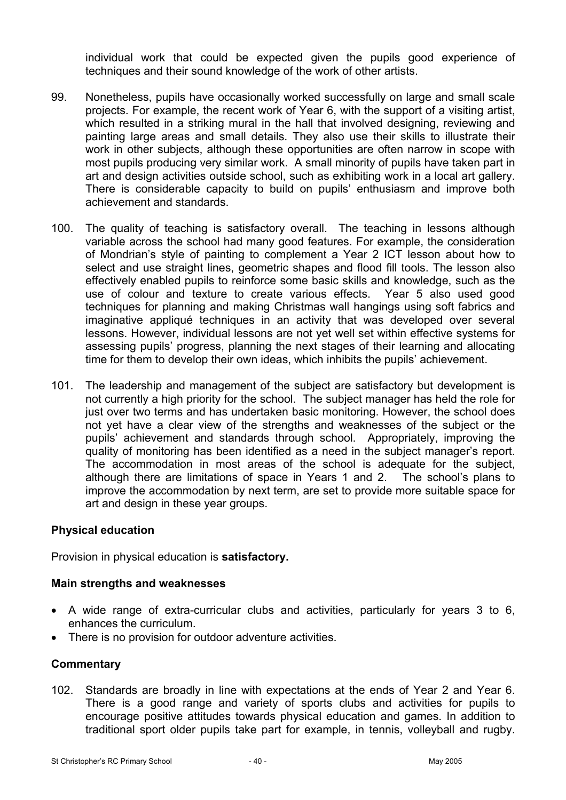individual work that could be expected given the pupils good experience of techniques and their sound knowledge of the work of other artists.

- 99. Nonetheless, pupils have occasionally worked successfully on large and small scale projects. For example, the recent work of Year 6, with the support of a visiting artist, which resulted in a striking mural in the hall that involved designing, reviewing and painting large areas and small details. They also use their skills to illustrate their work in other subjects, although these opportunities are often narrow in scope with most pupils producing very similar work. A small minority of pupils have taken part in art and design activities outside school, such as exhibiting work in a local art gallery. There is considerable capacity to build on pupils' enthusiasm and improve both achievement and standards.
- 100. The quality of teaching is satisfactory overall. The teaching in lessons although variable across the school had many good features. For example, the consideration of Mondrian's style of painting to complement a Year 2 ICT lesson about how to select and use straight lines, geometric shapes and flood fill tools. The lesson also effectively enabled pupils to reinforce some basic skills and knowledge, such as the use of colour and texture to create various effects. Year 5 also used good techniques for planning and making Christmas wall hangings using soft fabrics and imaginative appliqué techniques in an activity that was developed over several lessons. However, individual lessons are not yet well set within effective systems for assessing pupils' progress, planning the next stages of their learning and allocating time for them to develop their own ideas, which inhibits the pupils' achievement.
- 101. The leadership and management of the subject are satisfactory but development is not currently a high priority for the school. The subject manager has held the role for just over two terms and has undertaken basic monitoring. However, the school does not yet have a clear view of the strengths and weaknesses of the subject or the pupils' achievement and standards through school. Appropriately, improving the quality of monitoring has been identified as a need in the subject manager's report. The accommodation in most areas of the school is adequate for the subject, although there are limitations of space in Years 1 and 2. The school's plans to improve the accommodation by next term, are set to provide more suitable space for art and design in these year groups.

### **Physical education**

Provision in physical education is **satisfactory.**

#### **Main strengths and weaknesses**

- A wide range of extra-curricular clubs and activities, particularly for years 3 to 6, enhances the curriculum.
- There is no provision for outdoor adventure activities.

### **Commentary**

102. Standards are broadly in line with expectations at the ends of Year 2 and Year 6. There is a good range and variety of sports clubs and activities for pupils to encourage positive attitudes towards physical education and games. In addition to traditional sport older pupils take part for example, in tennis, volleyball and rugby.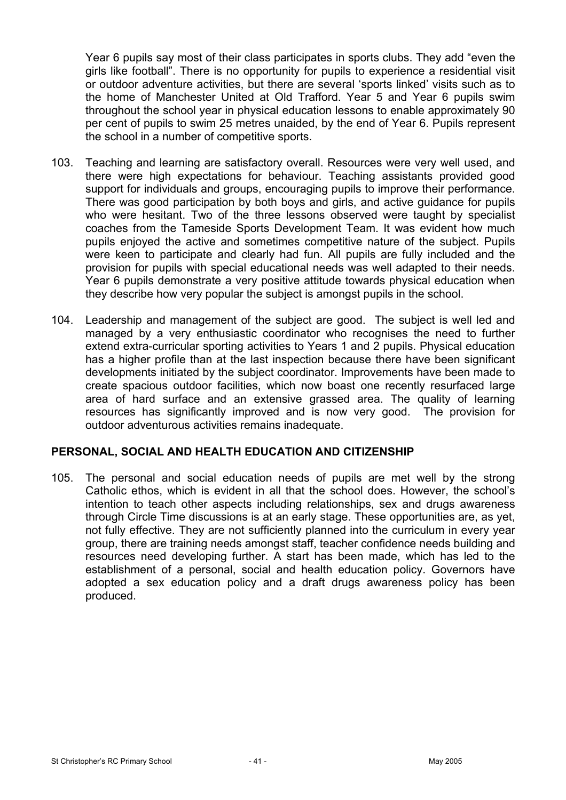Year 6 pupils say most of their class participates in sports clubs. They add "even the girls like football". There is no opportunity for pupils to experience a residential visit or outdoor adventure activities, but there are several 'sports linked' visits such as to the home of Manchester United at Old Trafford. Year 5 and Year 6 pupils swim throughout the school year in physical education lessons to enable approximately 90 per cent of pupils to swim 25 metres unaided, by the end of Year 6. Pupils represent the school in a number of competitive sports.

- 103. Teaching and learning are satisfactory overall. Resources were very well used, and there were high expectations for behaviour. Teaching assistants provided good support for individuals and groups, encouraging pupils to improve their performance. There was good participation by both boys and girls, and active guidance for pupils who were hesitant. Two of the three lessons observed were taught by specialist coaches from the Tameside Sports Development Team. It was evident how much pupils enjoyed the active and sometimes competitive nature of the subject. Pupils were keen to participate and clearly had fun. All pupils are fully included and the provision for pupils with special educational needs was well adapted to their needs. Year 6 pupils demonstrate a very positive attitude towards physical education when they describe how very popular the subject is amongst pupils in the school.
- 104. Leadership and management of the subject are good. The subject is well led and managed by a very enthusiastic coordinator who recognises the need to further extend extra-curricular sporting activities to Years 1 and 2 pupils. Physical education has a higher profile than at the last inspection because there have been significant developments initiated by the subject coordinator. Improvements have been made to create spacious outdoor facilities, which now boast one recently resurfaced large area of hard surface and an extensive grassed area. The quality of learning resources has significantly improved and is now very good. The provision for outdoor adventurous activities remains inadequate.

### **PERSONAL, SOCIAL AND HEALTH EDUCATION AND CITIZENSHIP**

105. The personal and social education needs of pupils are met well by the strong Catholic ethos, which is evident in all that the school does. However, the school's intention to teach other aspects including relationships, sex and drugs awareness through Circle Time discussions is at an early stage. These opportunities are, as yet, not fully effective. They are not sufficiently planned into the curriculum in every year group, there are training needs amongst staff, teacher confidence needs building and resources need developing further. A start has been made, which has led to the establishment of a personal, social and health education policy. Governors have adopted a sex education policy and a draft drugs awareness policy has been produced.